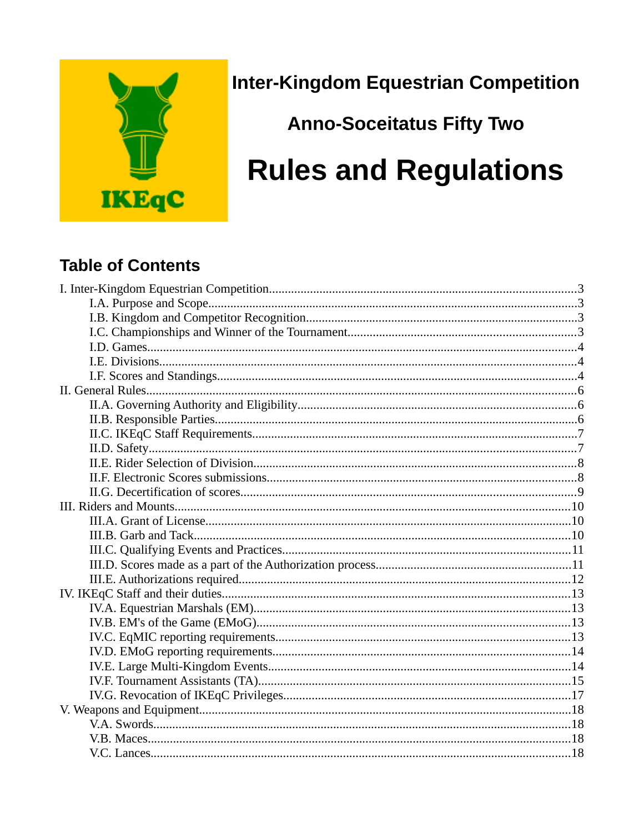

**Inter-Kingdom Equestrian Competition** 

**Anno-Soceitatus Fifty Two** 

# **Rules and Regulations**

### **Table of Contents**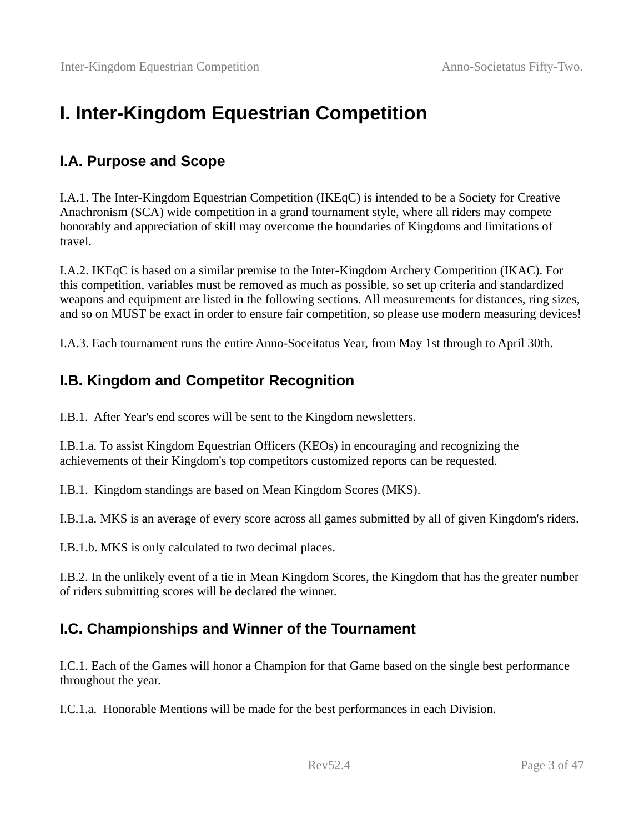# <span id="page-2-0"></span>**I. Inter-Kingdom Equestrian Competition**

#### <span id="page-2-3"></span>**I.A. Purpose and Scope**

I.A.1. The Inter-Kingdom Equestrian Competition (IKEqC) is intended to be a Society for Creative Anachronism (SCA) wide competition in a grand tournament style, where all riders may compete honorably and appreciation of skill may overcome the boundaries of Kingdoms and limitations of travel.

I.A.2. IKEqC is based on a similar premise to the Inter-Kingdom Archery Competition (IKAC). For this competition, variables must be removed as much as possible, so set up criteria and standardized weapons and equipment are listed in the following sections. All measurements for distances, ring sizes, and so on MUST be exact in order to ensure fair competition, so please use modern measuring devices!

I.A.3. Each tournament runs the entire Anno-Soceitatus Year, from May 1st through to April 30th.

#### <span id="page-2-2"></span>**I.B. Kingdom and Competitor Recognition**

I.B.1. After Year's end scores will be sent to the Kingdom newsletters.

I.B.1.a. To assist Kingdom Equestrian Officers (KEOs) in encouraging and recognizing the achievements of their Kingdom's top competitors customized reports can be requested.

I.B.1. Kingdom standings are based on Mean Kingdom Scores (MKS).

I.B.1.a. MKS is an average of every score across all games submitted by all of given Kingdom's riders.

I.B.1.b. MKS is only calculated to two decimal places.

I.B.2. In the unlikely event of a tie in Mean Kingdom Scores, the Kingdom that has the greater number of riders submitting scores will be declared the winner.

#### <span id="page-2-1"></span>**I.C. Championships and Winner of the Tournament**

I.C.1. Each of the Games will honor a Champion for that Game based on the single best performance throughout the year.

I.C.1.a. Honorable Mentions will be made for the best performances in each Division.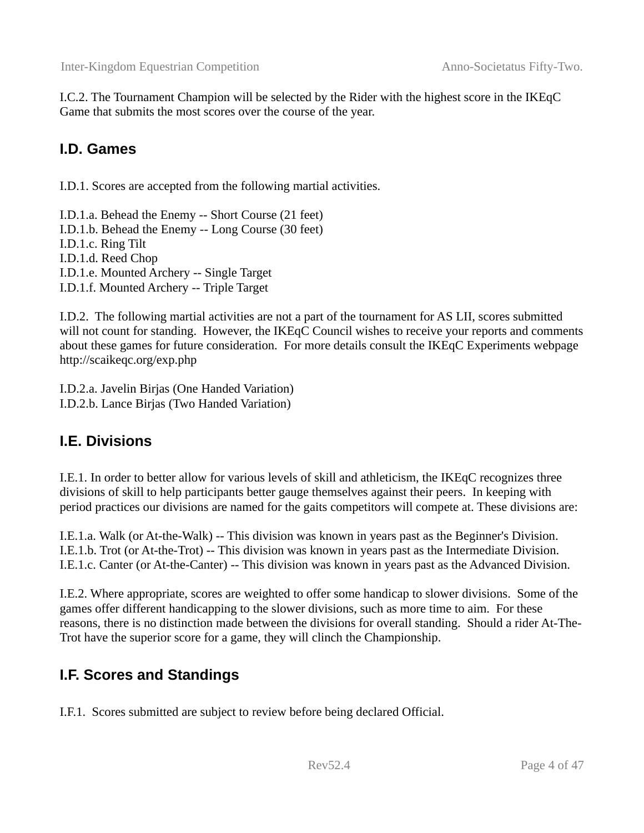I.C.2. The Tournament Champion will be selected by the Rider with the highest score in the IKEqC Game that submits the most scores over the course of the year.

#### <span id="page-3-2"></span>**I.D. Games**

I.D.1. Scores are accepted from the following martial activities.

I.D.1.a. Behead the Enemy -- Short Course (21 feet) I.D.1.b. Behead the Enemy -- Long Course (30 feet) I.D.1.c. Ring Tilt I.D.1.d. Reed Chop I.D.1.e. Mounted Archery -- Single Target I.D.1.f. Mounted Archery -- Triple Target

I.D.2. The following martial activities are not a part of the tournament for AS LII, scores submitted will not count for standing. However, the IKEqC Council wishes to receive your reports and comments about these games for future consideration. For more details consult the IKEqC Experiments webpage http://scaikeqc.org/exp.php

I.D.2.a. Javelin Birjas (One Handed Variation) I.D.2.b. Lance Birjas (Two Handed Variation)

#### <span id="page-3-1"></span>**I.E. Divisions**

I.E.1. In order to better allow for various levels of skill and athleticism, the IKEqC recognizes three divisions of skill to help participants better gauge themselves against their peers. In keeping with period practices our divisions are named for the gaits competitors will compete at. These divisions are:

I.E.1.a. Walk (or At-the-Walk) -- This division was known in years past as the Beginner's Division. I.E.1.b. Trot (or At-the-Trot) -- This division was known in years past as the Intermediate Division. I.E.1.c. Canter (or At-the-Canter) -- This division was known in years past as the Advanced Division.

I.E.2. Where appropriate, scores are weighted to offer some handicap to slower divisions. Some of the games offer different handicapping to the slower divisions, such as more time to aim. For these reasons, there is no distinction made between the divisions for overall standing. Should a rider At-The-Trot have the superior score for a game, they will clinch the Championship.

### <span id="page-3-0"></span>**I.F. Scores and Standings**

I.F.1. Scores submitted are subject to review before being declared Official.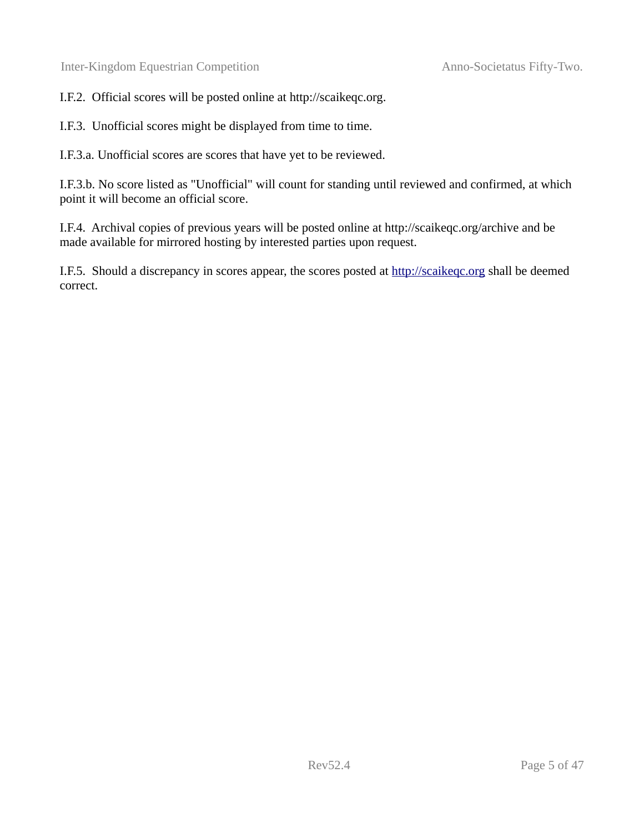I.F.2. Official scores will be posted online at http://scaikeqc.org.

I.F.3. Unofficial scores might be displayed from time to time.

I.F.3.a. Unofficial scores are scores that have yet to be reviewed.

I.F.3.b. No score listed as "Unofficial" will count for standing until reviewed and confirmed, at which point it will become an official score.

I.F.4. Archival copies of previous years will be posted online at http://scaikeqc.org/archive and be made available for mirrored hosting by interested parties upon request.

I.F.5. Should a discrepancy in scores appear, the scores posted at [http://scaikeqc.org](http://scaikeqc.org/) shall be deemed correct.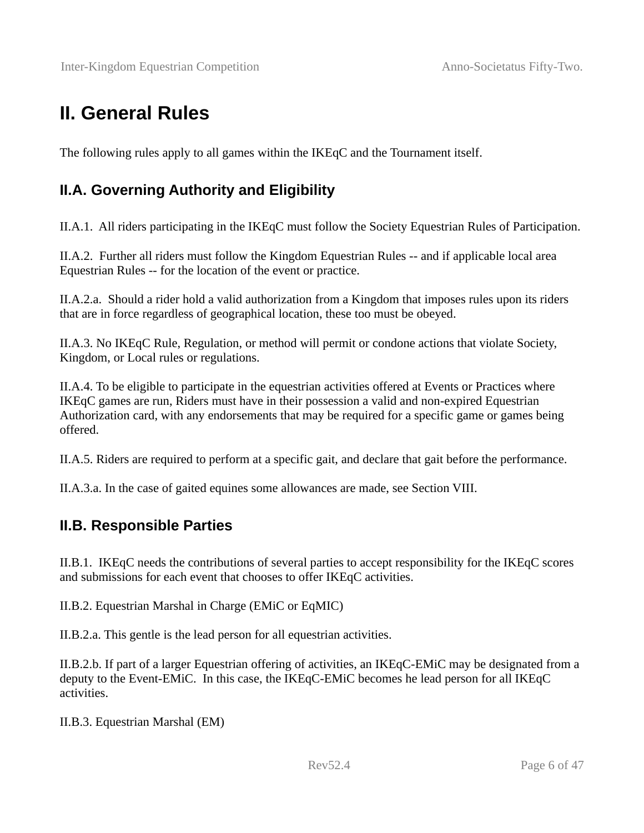### <span id="page-5-2"></span>**II. General Rules**

The following rules apply to all games within the IKEqC and the Tournament itself.

#### <span id="page-5-1"></span>**II.A. Governing Authority and Eligibility**

II.A.1. All riders participating in the IKEqC must follow the Society Equestrian Rules of Participation.

II.A.2. Further all riders must follow the Kingdom Equestrian Rules -- and if applicable local area Equestrian Rules -- for the location of the event or practice.

II.A.2.a. Should a rider hold a valid authorization from a Kingdom that imposes rules upon its riders that are in force regardless of geographical location, these too must be obeyed.

II.A.3. No IKEqC Rule, Regulation, or method will permit or condone actions that violate Society, Kingdom, or Local rules or regulations.

II.A.4. To be eligible to participate in the equestrian activities offered at Events or Practices where IKEqC games are run, Riders must have in their possession a valid and non-expired Equestrian Authorization card, with any endorsements that may be required for a specific game or games being offered.

II.A.5. Riders are required to perform at a specific gait, and declare that gait before the performance.

II.A.3.a. In the case of gaited equines some allowances are made, see Section VIII.

#### <span id="page-5-0"></span>**II.B. Responsible Parties**

II.B.1. IKEqC needs the contributions of several parties to accept responsibility for the IKEqC scores and submissions for each event that chooses to offer IKEqC activities.

II.B.2. Equestrian Marshal in Charge (EMiC or EqMIC)

II.B.2.a. This gentle is the lead person for all equestrian activities.

II.B.2.b. If part of a larger Equestrian offering of activities, an IKEqC-EMiC may be designated from a deputy to the Event-EMiC. In this case, the IKEqC-EMiC becomes he lead person for all IKEqC activities.

II.B.3. Equestrian Marshal (EM)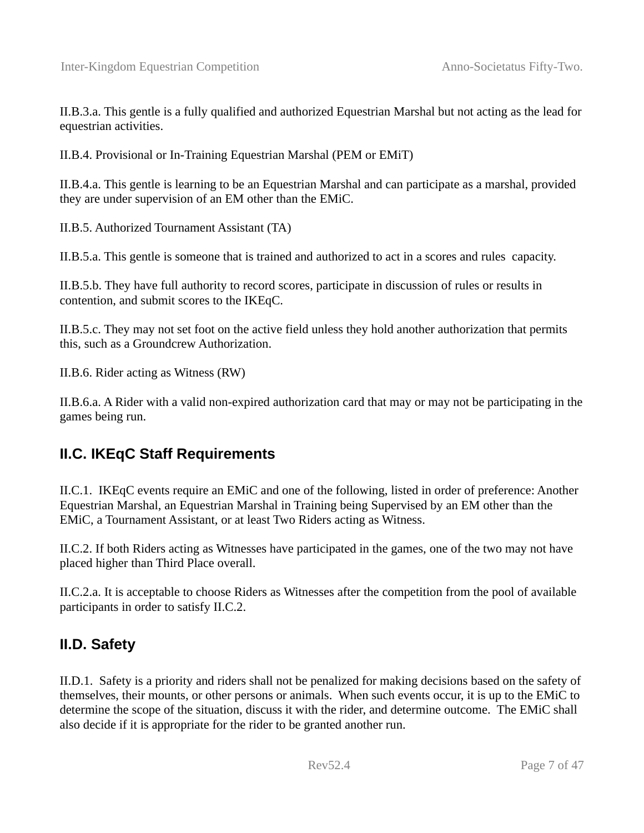II.B.3.a. This gentle is a fully qualified and authorized Equestrian Marshal but not acting as the lead for equestrian activities.

II.B.4. Provisional or In-Training Equestrian Marshal (PEM or EMiT)

II.B.4.a. This gentle is learning to be an Equestrian Marshal and can participate as a marshal, provided they are under supervision of an EM other than the EMiC.

II.B.5. Authorized Tournament Assistant (TA)

II.B.5.a. This gentle is someone that is trained and authorized to act in a scores and rules capacity.

II.B.5.b. They have full authority to record scores, participate in discussion of rules or results in contention, and submit scores to the IKEqC.

II.B.5.c. They may not set foot on the active field unless they hold another authorization that permits this, such as a Groundcrew Authorization.

II.B.6. Rider acting as Witness (RW)

II.B.6.a. A Rider with a valid non-expired authorization card that may or may not be participating in the games being run.

#### <span id="page-6-1"></span>**II.C. IKEqC Staff Requirements**

II.C.1. IKEqC events require an EMiC and one of the following, listed in order of preference: Another Equestrian Marshal, an Equestrian Marshal in Training being Supervised by an EM other than the EMiC, a Tournament Assistant, or at least Two Riders acting as Witness.

II.C.2. If both Riders acting as Witnesses have participated in the games, one of the two may not have placed higher than Third Place overall.

II.C.2.a. It is acceptable to choose Riders as Witnesses after the competition from the pool of available participants in order to satisfy II.C.2.

#### <span id="page-6-0"></span>**II.D. Safety**

II.D.1. Safety is a priority and riders shall not be penalized for making decisions based on the safety of themselves, their mounts, or other persons or animals. When such events occur, it is up to the EMiC to determine the scope of the situation, discuss it with the rider, and determine outcome. The EMiC shall also decide if it is appropriate for the rider to be granted another run.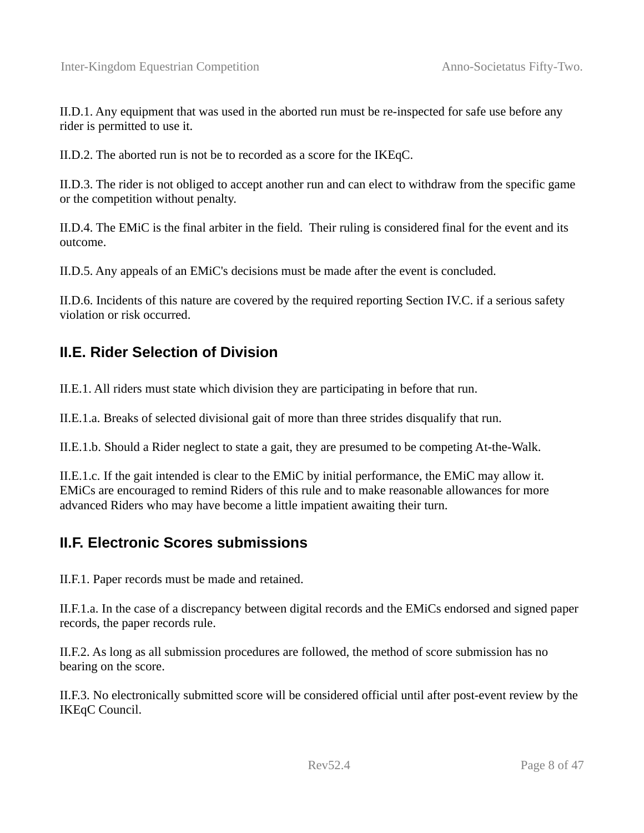II.D.1. Any equipment that was used in the aborted run must be re-inspected for safe use before any rider is permitted to use it.

II.D.2. The aborted run is not be to recorded as a score for the IKEqC.

II.D.3. The rider is not obliged to accept another run and can elect to withdraw from the specific game or the competition without penalty.

II.D.4. The EMiC is the final arbiter in the field. Their ruling is considered final for the event and its outcome.

II.D.5. Any appeals of an EMiC's decisions must be made after the event is concluded.

II.D.6. Incidents of this nature are covered by the required reporting Section IV.C. if a serious safety violation or risk occurred.

### <span id="page-7-1"></span>**II.E. Rider Selection of Division**

II.E.1. All riders must state which division they are participating in before that run.

II.E.1.a. Breaks of selected divisional gait of more than three strides disqualify that run.

II.E.1.b. Should a Rider neglect to state a gait, they are presumed to be competing At-the-Walk.

II.E.1.c. If the gait intended is clear to the EMiC by initial performance, the EMiC may allow it. EMiCs are encouraged to remind Riders of this rule and to make reasonable allowances for more advanced Riders who may have become a little impatient awaiting their turn.

#### <span id="page-7-0"></span>**II.F. Electronic Scores submissions**

II.F.1. Paper records must be made and retained.

II.F.1.a. In the case of a discrepancy between digital records and the EMiCs endorsed and signed paper records, the paper records rule.

II.F.2. As long as all submission procedures are followed, the method of score submission has no bearing on the score.

II.F.3. No electronically submitted score will be considered official until after post-event review by the IKEqC Council.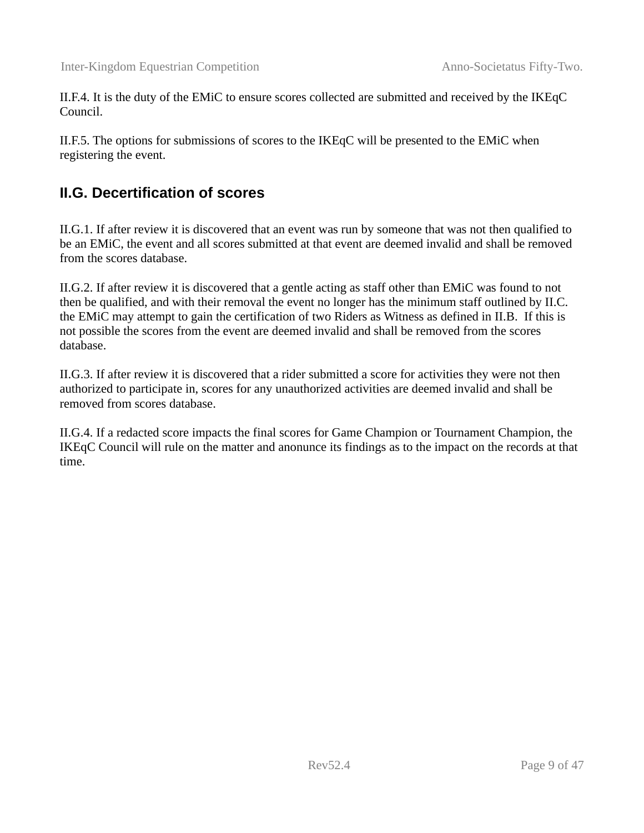II.F.4. It is the duty of the EMiC to ensure scores collected are submitted and received by the IKEqC Council.

II.F.5. The options for submissions of scores to the IKEqC will be presented to the EMiC when registering the event.

#### <span id="page-8-0"></span>**II.G. Decertification of scores**

II.G.1. If after review it is discovered that an event was run by someone that was not then qualified to be an EMiC, the event and all scores submitted at that event are deemed invalid and shall be removed from the scores database.

II.G.2. If after review it is discovered that a gentle acting as staff other than EMiC was found to not then be qualified, and with their removal the event no longer has the minimum staff outlined by II.C. the EMiC may attempt to gain the certification of two Riders as Witness as defined in II.B. If this is not possible the scores from the event are deemed invalid and shall be removed from the scores database.

II.G.3. If after review it is discovered that a rider submitted a score for activities they were not then authorized to participate in, scores for any unauthorized activities are deemed invalid and shall be removed from scores database.

II.G.4. If a redacted score impacts the final scores for Game Champion or Tournament Champion, the IKEqC Council will rule on the matter and anonunce its findings as to the impact on the records at that time.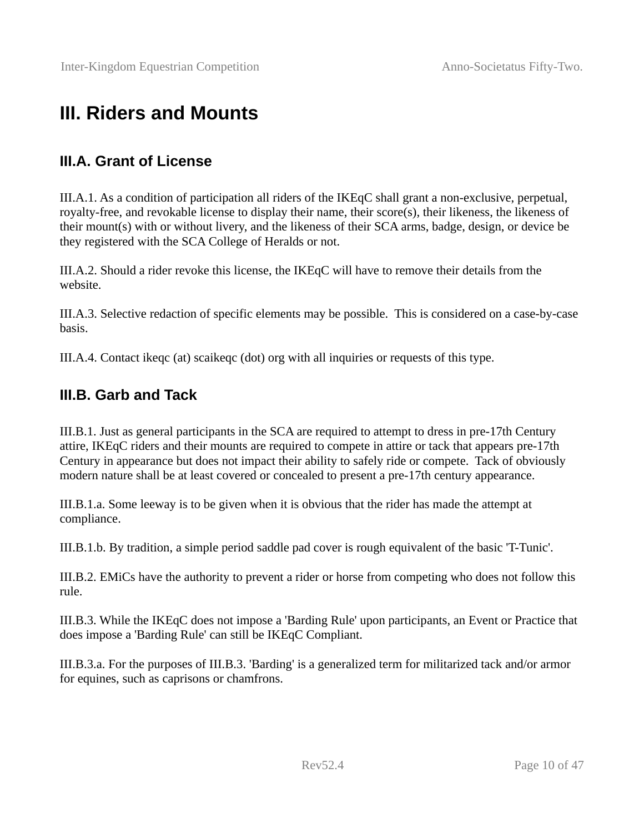# <span id="page-9-2"></span>**III. Riders and Mounts**

#### <span id="page-9-1"></span>**III.A. Grant of License**

III.A.1. As a condition of participation all riders of the IKEqC shall grant a non-exclusive, perpetual, royalty-free, and revokable license to display their name, their score(s), their likeness, the likeness of their mount(s) with or without livery, and the likeness of their SCA arms, badge, design, or device be they registered with the SCA College of Heralds or not.

III.A.2. Should a rider revoke this license, the IKEqC will have to remove their details from the website.

III.A.3. Selective redaction of specific elements may be possible. This is considered on a case-by-case basis.

III.A.4. Contact ikeqc (at) scaikeqc (dot) org with all inquiries or requests of this type.

#### <span id="page-9-0"></span>**III.B. Garb and Tack**

III.B.1. Just as general participants in the SCA are required to attempt to dress in pre-17th Century attire, IKEqC riders and their mounts are required to compete in attire or tack that appears pre-17th Century in appearance but does not impact their ability to safely ride or compete. Tack of obviously modern nature shall be at least covered or concealed to present a pre-17th century appearance.

III.B.1.a. Some leeway is to be given when it is obvious that the rider has made the attempt at compliance.

III.B.1.b. By tradition, a simple period saddle pad cover is rough equivalent of the basic 'T-Tunic'.

III.B.2. EMiCs have the authority to prevent a rider or horse from competing who does not follow this rule.

III.B.3. While the IKEqC does not impose a 'Barding Rule' upon participants, an Event or Practice that does impose a 'Barding Rule' can still be IKEqC Compliant.

III.B.3.a. For the purposes of III.B.3. 'Barding' is a generalized term for militarized tack and/or armor for equines, such as caprisons or chamfrons.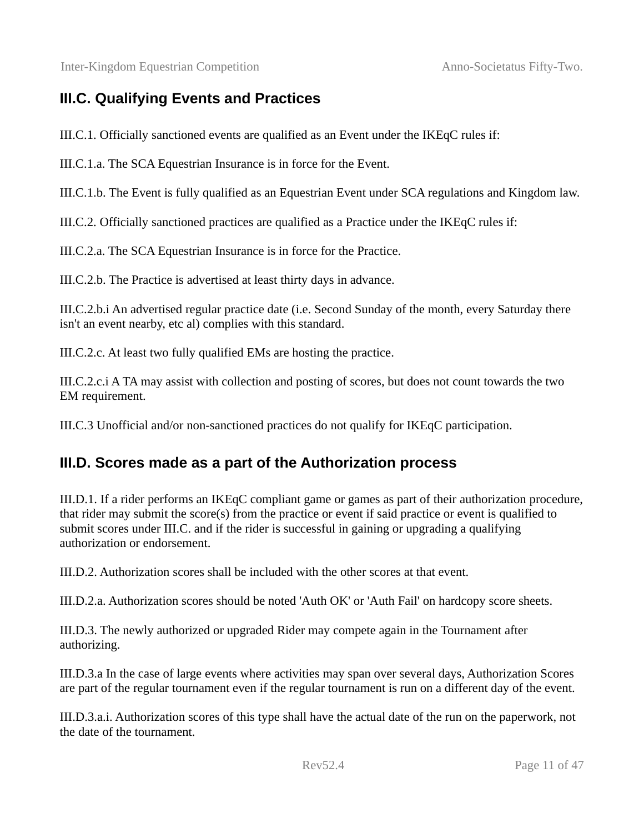### <span id="page-10-1"></span>**III.C. Qualifying Events and Practices**

III.C.1. Officially sanctioned events are qualified as an Event under the IKEqC rules if:

III.C.1.a. The SCA Equestrian Insurance is in force for the Event.

III.C.1.b. The Event is fully qualified as an Equestrian Event under SCA regulations and Kingdom law.

III.C.2. Officially sanctioned practices are qualified as a Practice under the IKEqC rules if:

III.C.2.a. The SCA Equestrian Insurance is in force for the Practice.

III.C.2.b. The Practice is advertised at least thirty days in advance.

III.C.2.b.i An advertised regular practice date (i.e. Second Sunday of the month, every Saturday there isn't an event nearby, etc al) complies with this standard.

III.C.2.c. At least two fully qualified EMs are hosting the practice.

III.C.2.c.i A TA may assist with collection and posting of scores, but does not count towards the two EM requirement.

III.C.3 Unofficial and/or non-sanctioned practices do not qualify for IKEqC participation.

#### <span id="page-10-0"></span>**III.D. Scores made as a part of the Authorization process**

III.D.1. If a rider performs an IKEqC compliant game or games as part of their authorization procedure, that rider may submit the score(s) from the practice or event if said practice or event is qualified to submit scores under III.C. and if the rider is successful in gaining or upgrading a qualifying authorization or endorsement.

III.D.2. Authorization scores shall be included with the other scores at that event.

III.D.2.a. Authorization scores should be noted 'Auth OK' or 'Auth Fail' on hardcopy score sheets.

III.D.3. The newly authorized or upgraded Rider may compete again in the Tournament after authorizing.

III.D.3.a In the case of large events where activities may span over several days, Authorization Scores are part of the regular tournament even if the regular tournament is run on a different day of the event.

III.D.3.a.i. Authorization scores of this type shall have the actual date of the run on the paperwork, not the date of the tournament.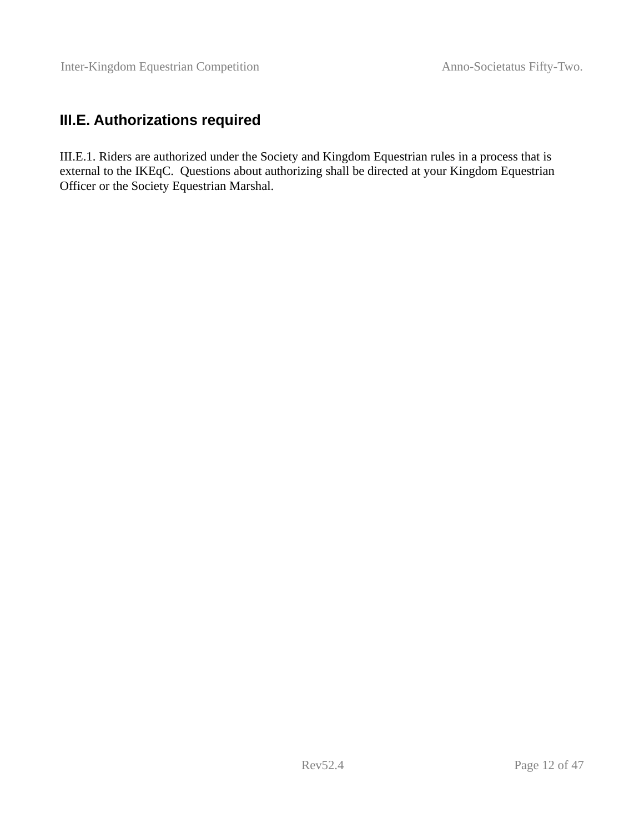#### <span id="page-11-0"></span>**III.E. Authorizations required**

III.E.1. Riders are authorized under the Society and Kingdom Equestrian rules in a process that is external to the IKEqC. Questions about authorizing shall be directed at your Kingdom Equestrian Officer or the Society Equestrian Marshal.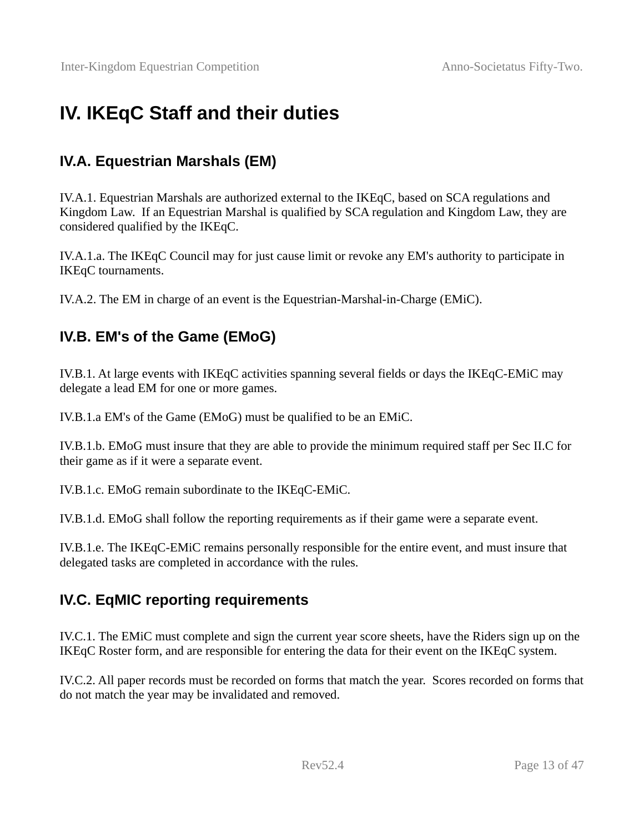# <span id="page-12-3"></span>**IV. IKEqC Staff and their duties**

### <span id="page-12-2"></span>**IV.A. Equestrian Marshals (EM)**

IV.A.1. Equestrian Marshals are authorized external to the IKEqC, based on SCA regulations and Kingdom Law. If an Equestrian Marshal is qualified by SCA regulation and Kingdom Law, they are considered qualified by the IKEqC.

IV.A.1.a. The IKEqC Council may for just cause limit or revoke any EM's authority to participate in IKEqC tournaments.

IV.A.2. The EM in charge of an event is the Equestrian-Marshal-in-Charge (EMiC).

#### <span id="page-12-1"></span>**IV.B. EM's of the Game (EMoG)**

IV.B.1. At large events with IKEqC activities spanning several fields or days the IKEqC-EMiC may delegate a lead EM for one or more games.

IV.B.1.a EM's of the Game (EMoG) must be qualified to be an EMiC.

IV.B.1.b. EMoG must insure that they are able to provide the minimum required staff per Sec II.C for their game as if it were a separate event.

IV.B.1.c. EMoG remain subordinate to the IKEqC-EMiC.

IV.B.1.d. EMoG shall follow the reporting requirements as if their game were a separate event.

IV.B.1.e. The IKEqC-EMiC remains personally responsible for the entire event, and must insure that delegated tasks are completed in accordance with the rules.

### <span id="page-12-0"></span>**IV.C. EqMIC reporting requirements**

IV.C.1. The EMiC must complete and sign the current year score sheets, have the Riders sign up on the IKEqC Roster form, and are responsible for entering the data for their event on the IKEqC system.

IV.C.2. All paper records must be recorded on forms that match the year. Scores recorded on forms that do not match the year may be invalidated and removed.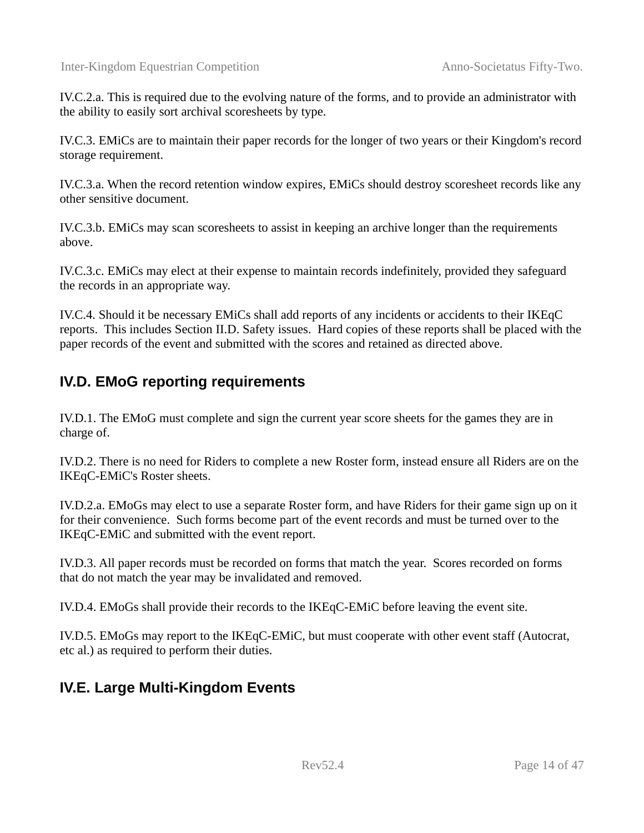IV.C.2.a. This is required due to the evolving nature of the forms, and to provide an administrator with the ability to easily sort archival scoresheets by type.

IV.C.3. EMiCs are to maintain their paper records for the longer of two years or their Kingdom's record storage requirement.

IV.C.3.a. When the record retention window expires, EMiCs should destroy scoresheet records like any other sensitive document.

IV.C.3.b. EMiCs may scan scoresheets to assist in keeping an archive longer than the requirements above.

IV.C.3.c. EMiCs may elect at their expense to maintain records indefinitely, provided they safeguard the records in an appropriate way.

IV.C.4. Should it be necessary EMiCs shall add reports of any incidents or accidents to their IKEqC reports. This includes Section II.D. Safety issues. Hard copies of these reports shall be placed with the paper records of the event and submitted with the scores and retained as directed above.

#### <span id="page-13-1"></span>**IV.D. EMoG reporting requirements**

IV.D.1. The EMoG must complete and sign the current year score sheets for the games they are in charge of.

IV.D.2. There is no need for Riders to complete a new Roster form, instead ensure all Riders are on the IKEqC-EMiC's Roster sheets.

IV.D.2.a. EMoGs may elect to use a separate Roster form, and have Riders for their game sign up on it for their convenience. Such forms become part of the event records and must be turned over to the IKEqC-EMiC and submitted with the event report.

IV.D.3. All paper records must be recorded on forms that match the year. Scores recorded on forms that do not match the year may be invalidated and removed.

IV.D.4. EMoGs shall provide their records to the IKEqC-EMiC before leaving the event site.

IV.D.5. EMoGs may report to the IKEqC-EMiC, but must cooperate with other event staff (Autocrat, etc al.) as required to perform their duties.

#### <span id="page-13-0"></span>**IV.E. Large Multi-Kingdom Events**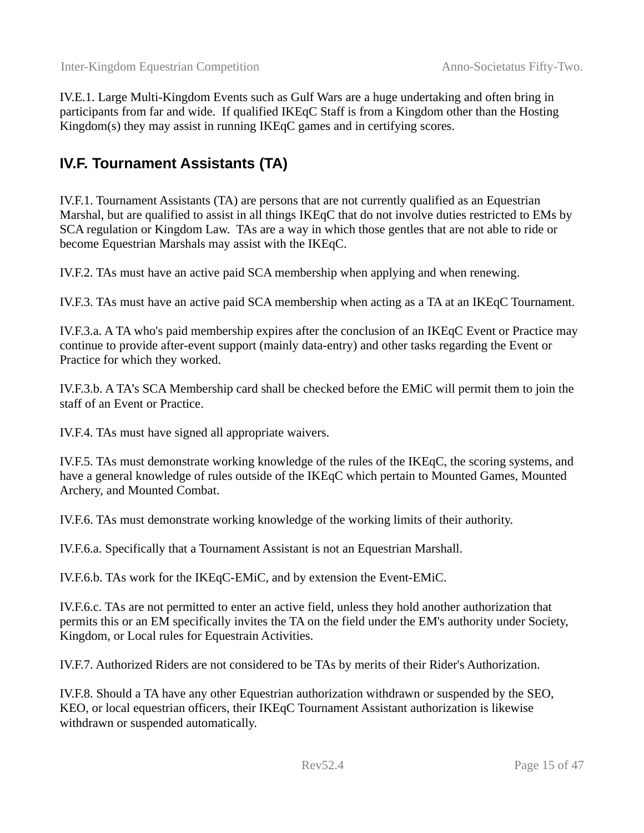IV.E.1. Large Multi-Kingdom Events such as Gulf Wars are a huge undertaking and often bring in participants from far and wide. If qualified IKEqC Staff is from a Kingdom other than the Hosting Kingdom(s) they may assist in running IKEqC games and in certifying scores.

#### <span id="page-14-0"></span>**IV.F. Tournament Assistants (TA)**

IV.F.1. Tournament Assistants (TA) are persons that are not currently qualified as an Equestrian Marshal, but are qualified to assist in all things IKEqC that do not involve duties restricted to EMs by SCA regulation or Kingdom Law. TAs are a way in which those gentles that are not able to ride or become Equestrian Marshals may assist with the IKEqC.

IV.F.2. TAs must have an active paid SCA membership when applying and when renewing.

IV.F.3. TAs must have an active paid SCA membership when acting as a TA at an IKEqC Tournament.

IV.F.3.a. A TA who's paid membership expires after the conclusion of an IKEqC Event or Practice may continue to provide after-event support (mainly data-entry) and other tasks regarding the Event or Practice for which they worked.

IV.F.3.b. A TA's SCA Membership card shall be checked before the EMiC will permit them to join the staff of an Event or Practice.

IV.F.4. TAs must have signed all appropriate waivers.

IV.F.5. TAs must demonstrate working knowledge of the rules of the IKEqC, the scoring systems, and have a general knowledge of rules outside of the IKEqC which pertain to Mounted Games, Mounted Archery, and Mounted Combat.

IV.F.6. TAs must demonstrate working knowledge of the working limits of their authority.

IV.F.6.a. Specifically that a Tournament Assistant is not an Equestrian Marshall.

IV.F.6.b. TAs work for the IKEqC-EMiC, and by extension the Event-EMiC.

IV.F.6.c. TAs are not permitted to enter an active field, unless they hold another authorization that permits this or an EM specifically invites the TA on the field under the EM's authority under Society, Kingdom, or Local rules for Equestrain Activities.

IV.F.7. Authorized Riders are not considered to be TAs by merits of their Rider's Authorization.

IV.F.8. Should a TA have any other Equestrian authorization withdrawn or suspended by the SEO, KEO, or local equestrian officers, their IKEqC Tournament Assistant authorization is likewise withdrawn or suspended automatically.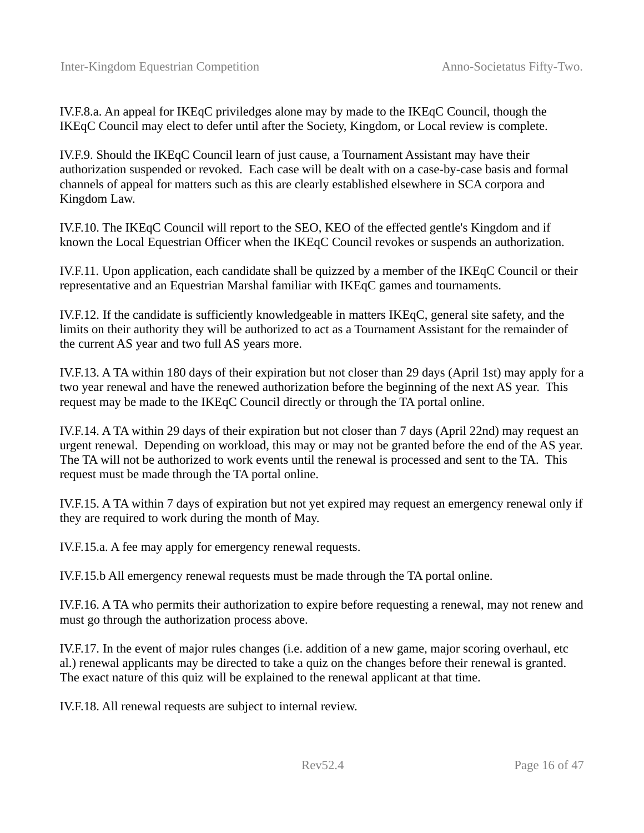IV.F.8.a. An appeal for IKEqC priviledges alone may by made to the IKEqC Council, though the IKEqC Council may elect to defer until after the Society, Kingdom, or Local review is complete.

IV.F.9. Should the IKEqC Council learn of just cause, a Tournament Assistant may have their authorization suspended or revoked. Each case will be dealt with on a case-by-case basis and formal channels of appeal for matters such as this are clearly established elsewhere in SCA corpora and Kingdom Law.

IV.F.10. The IKEqC Council will report to the SEO, KEO of the effected gentle's Kingdom and if known the Local Equestrian Officer when the IKEqC Council revokes or suspends an authorization.

IV.F.11. Upon application, each candidate shall be quizzed by a member of the IKEqC Council or their representative and an Equestrian Marshal familiar with IKEqC games and tournaments.

IV.F.12. If the candidate is sufficiently knowledgeable in matters IKEqC, general site safety, and the limits on their authority they will be authorized to act as a Tournament Assistant for the remainder of the current AS year and two full AS years more.

IV.F.13. A TA within 180 days of their expiration but not closer than 29 days (April 1st) may apply for a two year renewal and have the renewed authorization before the beginning of the next AS year. This request may be made to the IKEqC Council directly or through the TA portal online.

IV.F.14. A TA within 29 days of their expiration but not closer than 7 days (April 22nd) may request an urgent renewal. Depending on workload, this may or may not be granted before the end of the AS year. The TA will not be authorized to work events until the renewal is processed and sent to the TA. This request must be made through the TA portal online.

IV.F.15. A TA within 7 days of expiration but not yet expired may request an emergency renewal only if they are required to work during the month of May.

IV.F.15.a. A fee may apply for emergency renewal requests.

IV.F.15.b All emergency renewal requests must be made through the TA portal online.

IV.F.16. A TA who permits their authorization to expire before requesting a renewal, may not renew and must go through the authorization process above.

IV.F.17. In the event of major rules changes (i.e. addition of a new game, major scoring overhaul, etc al.) renewal applicants may be directed to take a quiz on the changes before their renewal is granted. The exact nature of this quiz will be explained to the renewal applicant at that time.

IV.F.18. All renewal requests are subject to internal review.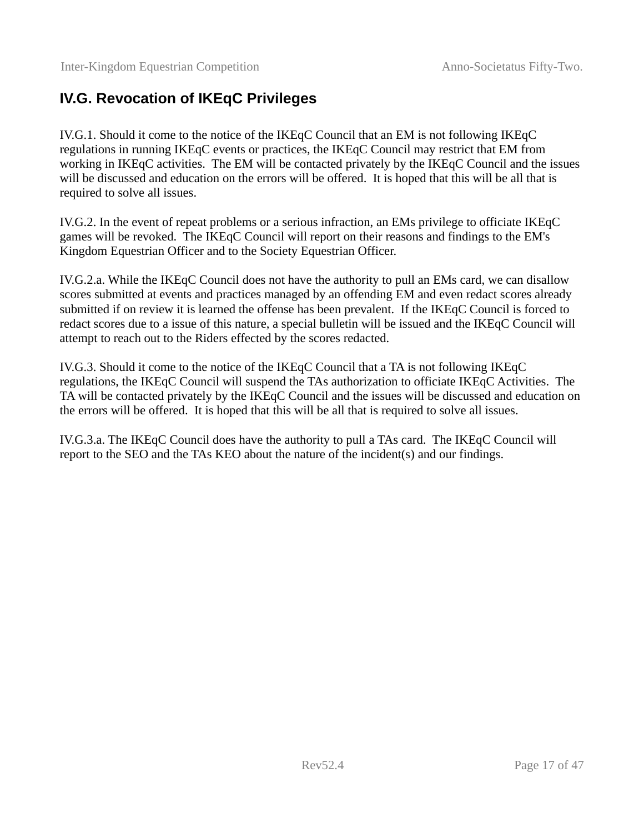#### <span id="page-16-0"></span>**IV.G. Revocation of IKEqC Privileges**

IV.G.1. Should it come to the notice of the IKEqC Council that an EM is not following IKEqC regulations in running IKEqC events or practices, the IKEqC Council may restrict that EM from working in IKEqC activities. The EM will be contacted privately by the IKEqC Council and the issues will be discussed and education on the errors will be offered. It is hoped that this will be all that is required to solve all issues.

IV.G.2. In the event of repeat problems or a serious infraction, an EMs privilege to officiate IKEqC games will be revoked. The IKEqC Council will report on their reasons and findings to the EM's Kingdom Equestrian Officer and to the Society Equestrian Officer.

IV.G.2.a. While the IKEqC Council does not have the authority to pull an EMs card, we can disallow scores submitted at events and practices managed by an offending EM and even redact scores already submitted if on review it is learned the offense has been prevalent. If the IKEqC Council is forced to redact scores due to a issue of this nature, a special bulletin will be issued and the IKEqC Council will attempt to reach out to the Riders effected by the scores redacted.

IV.G.3. Should it come to the notice of the IKEqC Council that a TA is not following IKEqC regulations, the IKEqC Council will suspend the TAs authorization to officiate IKEqC Activities. The TA will be contacted privately by the IKEqC Council and the issues will be discussed and education on the errors will be offered. It is hoped that this will be all that is required to solve all issues.

IV.G.3.a. The IKEqC Council does have the authority to pull a TAs card. The IKEqC Council will report to the SEO and the TAs KEO about the nature of the incident(s) and our findings.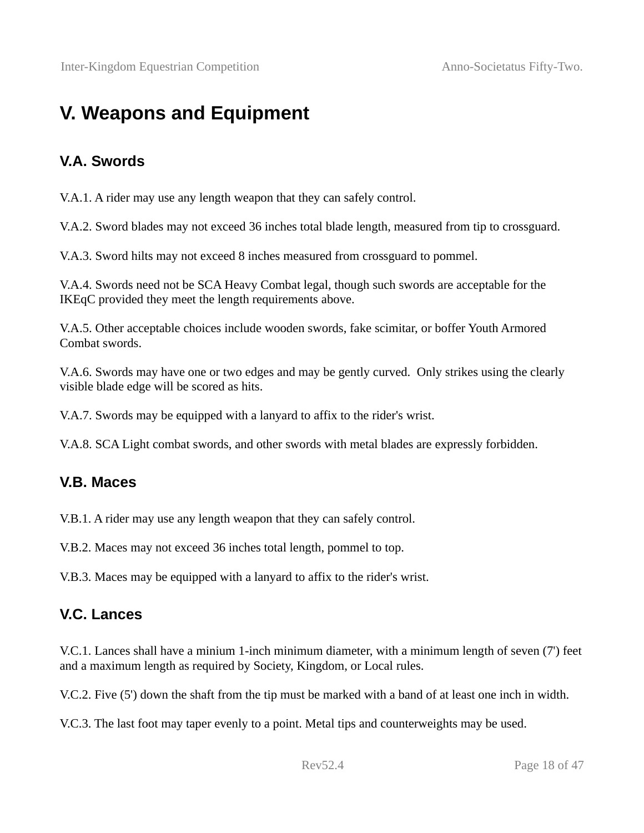# <span id="page-17-3"></span>**V. Weapons and Equipment**

#### <span id="page-17-2"></span>**V.A. Swords**

V.A.1. A rider may use any length weapon that they can safely control.

V.A.2. Sword blades may not exceed 36 inches total blade length, measured from tip to crossguard.

V.A.3. Sword hilts may not exceed 8 inches measured from crossguard to pommel.

V.A.4. Swords need not be SCA Heavy Combat legal, though such swords are acceptable for the IKEqC provided they meet the length requirements above.

V.A.5. Other acceptable choices include wooden swords, fake scimitar, or boffer Youth Armored Combat swords.

V.A.6. Swords may have one or two edges and may be gently curved. Only strikes using the clearly visible blade edge will be scored as hits.

V.A.7. Swords may be equipped with a lanyard to affix to the rider's wrist.

V.A.8. SCA Light combat swords, and other swords with metal blades are expressly forbidden.

#### <span id="page-17-1"></span>**V.B. Maces**

V.B.1. A rider may use any length weapon that they can safely control.

V.B.2. Maces may not exceed 36 inches total length, pommel to top.

V.B.3. Maces may be equipped with a lanyard to affix to the rider's wrist.

#### <span id="page-17-0"></span>**V.C. Lances**

V.C.1. Lances shall have a minium 1-inch minimum diameter, with a minimum length of seven (7') feet and a maximum length as required by Society, Kingdom, or Local rules.

V.C.2. Five (5') down the shaft from the tip must be marked with a band of at least one inch in width.

V.C.3. The last foot may taper evenly to a point. Metal tips and counterweights may be used.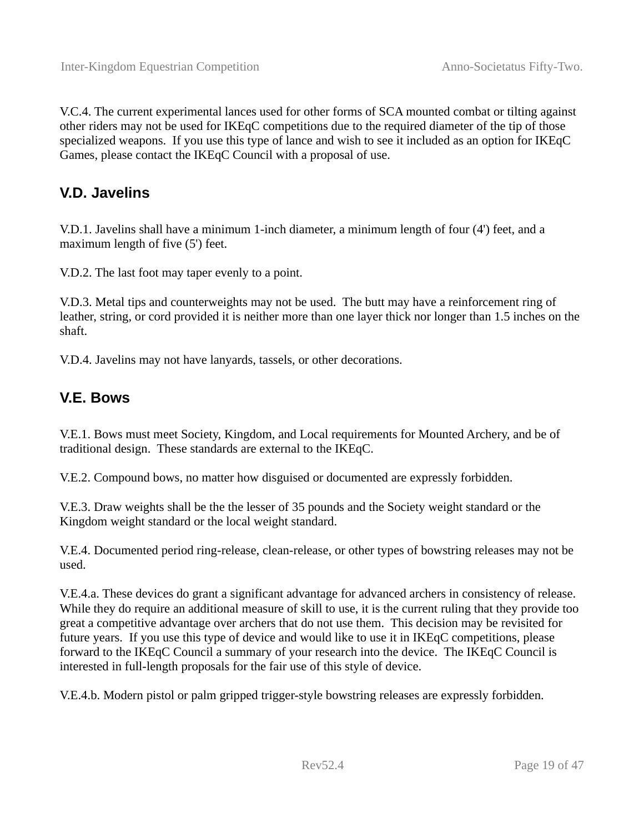V.C.4. The current experimental lances used for other forms of SCA mounted combat or tilting against other riders may not be used for IKEqC competitions due to the required diameter of the tip of those specialized weapons. If you use this type of lance and wish to see it included as an option for IKEqC Games, please contact the IKEqC Council with a proposal of use.

#### <span id="page-18-1"></span>**V.D. Javelins**

V.D.1. Javelins shall have a minimum 1-inch diameter, a minimum length of four (4') feet, and a maximum length of five (5') feet.

V.D.2. The last foot may taper evenly to a point.

V.D.3. Metal tips and counterweights may not be used. The butt may have a reinforcement ring of leather, string, or cord provided it is neither more than one layer thick nor longer than 1.5 inches on the shaft.

V.D.4. Javelins may not have lanyards, tassels, or other decorations.

#### <span id="page-18-0"></span>**V.E. Bows**

V.E.1. Bows must meet Society, Kingdom, and Local requirements for Mounted Archery, and be of traditional design. These standards are external to the IKEqC.

V.E.2. Compound bows, no matter how disguised or documented are expressly forbidden.

V.E.3. Draw weights shall be the the lesser of 35 pounds and the Society weight standard or the Kingdom weight standard or the local weight standard.

V.E.4. Documented period ring-release, clean-release, or other types of bowstring releases may not be used.

V.E.4.a. These devices do grant a significant advantage for advanced archers in consistency of release. While they do require an additional measure of skill to use, it is the current ruling that they provide too great a competitive advantage over archers that do not use them. This decision may be revisited for future years. If you use this type of device and would like to use it in IKEqC competitions, please forward to the IKEqC Council a summary of your research into the device. The IKEqC Council is interested in full-length proposals for the fair use of this style of device.

V.E.4.b. Modern pistol or palm gripped trigger-style bowstring releases are expressly forbidden.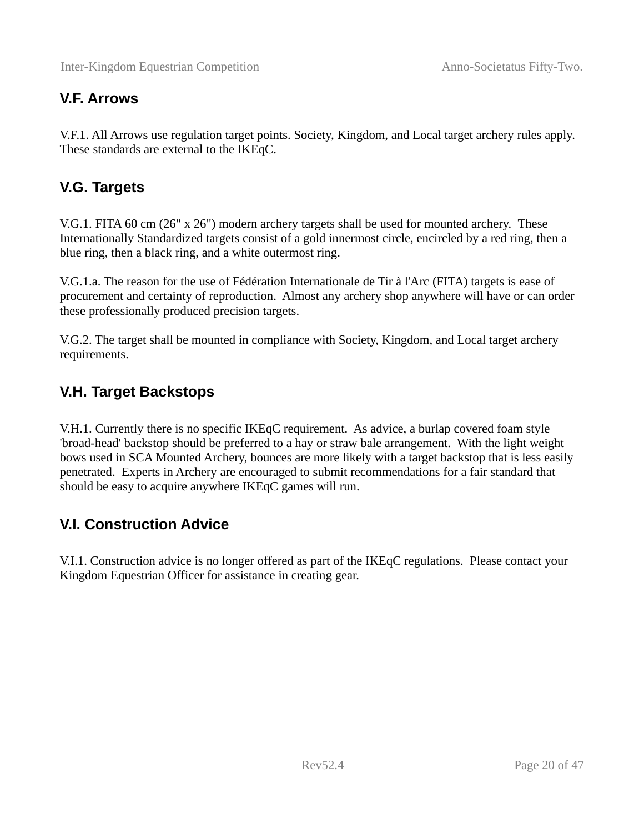#### <span id="page-19-3"></span>**V.F. Arrows**

V.F.1. All Arrows use regulation target points. Society, Kingdom, and Local target archery rules apply. These standards are external to the IKEqC.

#### <span id="page-19-2"></span>**V.G. Targets**

V.G.1. FITA 60 cm (26" x 26") modern archery targets shall be used for mounted archery. These Internationally Standardized targets consist of a gold innermost circle, encircled by a red ring, then a blue ring, then a black ring, and a white outermost ring.

V.G.1.a. The reason for the use of Fédération Internationale de Tir à l'Arc (FITA) targets is ease of procurement and certainty of reproduction. Almost any archery shop anywhere will have or can order these professionally produced precision targets.

V.G.2. The target shall be mounted in compliance with Society, Kingdom, and Local target archery requirements.

#### <span id="page-19-1"></span>**V.H. Target Backstops**

V.H.1. Currently there is no specific IKEqC requirement. As advice, a burlap covered foam style 'broad-head' backstop should be preferred to a hay or straw bale arrangement. With the light weight bows used in SCA Mounted Archery, bounces are more likely with a target backstop that is less easily penetrated. Experts in Archery are encouraged to submit recommendations for a fair standard that should be easy to acquire anywhere IKEqC games will run.

#### <span id="page-19-0"></span>**V.I. Construction Advice**

V.I.1. Construction advice is no longer offered as part of the IKEqC regulations. Please contact your Kingdom Equestrian Officer for assistance in creating gear.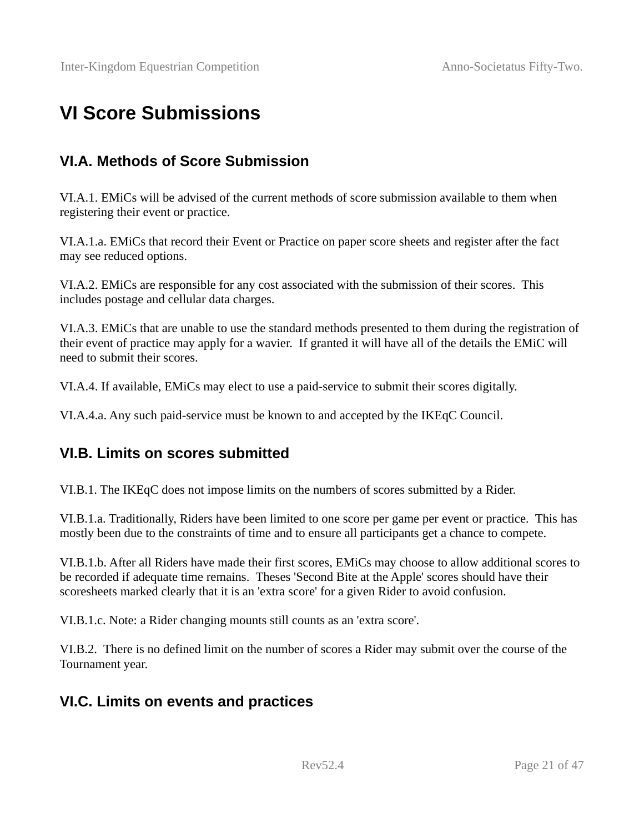# <span id="page-20-3"></span>**VI Score Submissions**

#### <span id="page-20-2"></span>**VI.A. Methods of Score Submission**

VI.A.1. EMiCs will be advised of the current methods of score submission available to them when registering their event or practice.

VI.A.1.a. EMiCs that record their Event or Practice on paper score sheets and register after the fact may see reduced options.

VI.A.2. EMiCs are responsible for any cost associated with the submission of their scores. This includes postage and cellular data charges.

VI.A.3. EMiCs that are unable to use the standard methods presented to them during the registration of their event of practice may apply for a wavier. If granted it will have all of the details the EMiC will need to submit their scores.

VI.A.4. If available, EMiCs may elect to use a paid-service to submit their scores digitally.

VI.A.4.a. Any such paid-service must be known to and accepted by the IKEqC Council.

#### <span id="page-20-1"></span>**VI.B. Limits on scores submitted**

VI.B.1. The IKEqC does not impose limits on the numbers of scores submitted by a Rider.

VI.B.1.a. Traditionally, Riders have been limited to one score per game per event or practice. This has mostly been due to the constraints of time and to ensure all participants get a chance to compete.

VI.B.1.b. After all Riders have made their first scores, EMiCs may choose to allow additional scores to be recorded if adequate time remains. Theses 'Second Bite at the Apple' scores should have their scoresheets marked clearly that it is an 'extra score' for a given Rider to avoid confusion.

VI.B.1.c. Note: a Rider changing mounts still counts as an 'extra score'.

VI.B.2. There is no defined limit on the number of scores a Rider may submit over the course of the Tournament year.

#### <span id="page-20-0"></span>**VI.C. Limits on events and practices**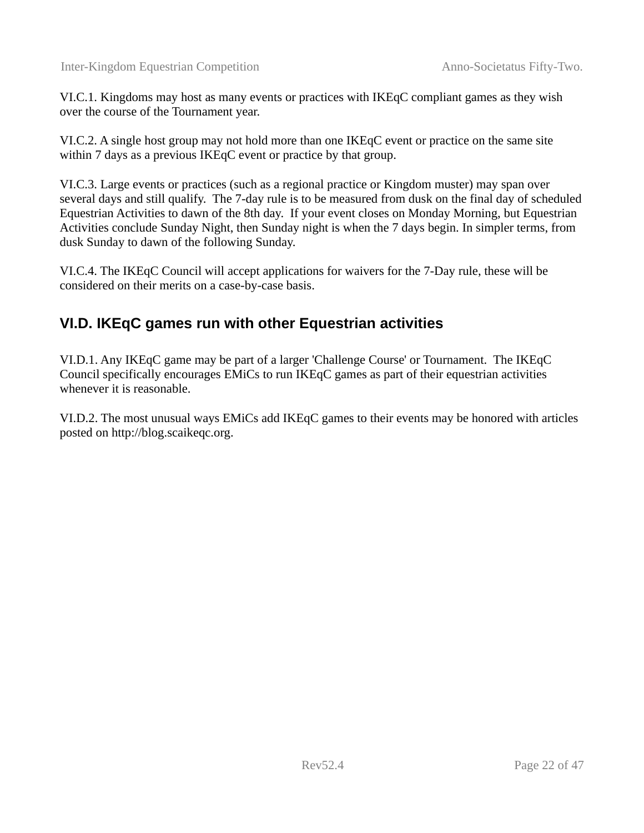VI.C.1. Kingdoms may host as many events or practices with IKEqC compliant games as they wish over the course of the Tournament year.

VI.C.2. A single host group may not hold more than one IKEqC event or practice on the same site within 7 days as a previous IKEqC event or practice by that group.

VI.C.3. Large events or practices (such as a regional practice or Kingdom muster) may span over several days and still qualify. The 7-day rule is to be measured from dusk on the final day of scheduled Equestrian Activities to dawn of the 8th day. If your event closes on Monday Morning, but Equestrian Activities conclude Sunday Night, then Sunday night is when the 7 days begin. In simpler terms, from dusk Sunday to dawn of the following Sunday.

VI.C.4. The IKEqC Council will accept applications for waivers for the 7-Day rule, these will be considered on their merits on a case-by-case basis.

#### <span id="page-21-0"></span>**VI.D. IKEqC games run with other Equestrian activities**

VI.D.1. Any IKEqC game may be part of a larger 'Challenge Course' or Tournament. The IKEqC Council specifically encourages EMiCs to run IKEqC games as part of their equestrian activities whenever it is reasonable.

VI.D.2. The most unusual ways EMiCs add IKEqC games to their events may be honored with articles posted on http://blog.scaikeqc.org.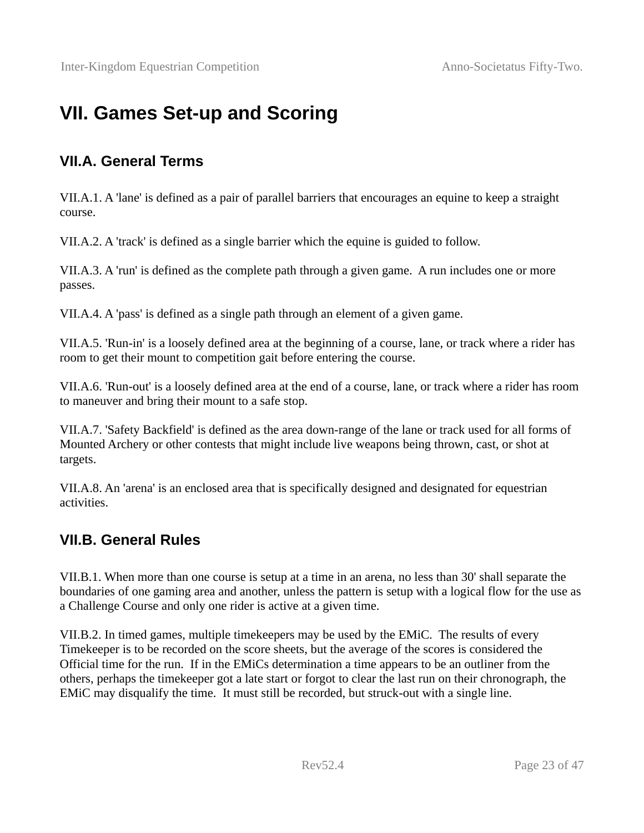# <span id="page-22-2"></span>**VII. Games Set-up and Scoring**

#### <span id="page-22-1"></span>**VII.A. General Terms**

VII.A.1. A 'lane' is defined as a pair of parallel barriers that encourages an equine to keep a straight course.

VII.A.2. A 'track' is defined as a single barrier which the equine is guided to follow.

VII.A.3. A 'run' is defined as the complete path through a given game. A run includes one or more passes.

VII.A.4. A 'pass' is defined as a single path through an element of a given game.

VII.A.5. 'Run-in' is a loosely defined area at the beginning of a course, lane, or track where a rider has room to get their mount to competition gait before entering the course.

VII.A.6. 'Run-out' is a loosely defined area at the end of a course, lane, or track where a rider has room to maneuver and bring their mount to a safe stop.

VII.A.7. 'Safety Backfield' is defined as the area down-range of the lane or track used for all forms of Mounted Archery or other contests that might include live weapons being thrown, cast, or shot at targets.

VII.A.8. An 'arena' is an enclosed area that is specifically designed and designated for equestrian activities.

#### <span id="page-22-0"></span>**VII.B. General Rules**

VII.B.1. When more than one course is setup at a time in an arena, no less than 30' shall separate the boundaries of one gaming area and another, unless the pattern is setup with a logical flow for the use as a Challenge Course and only one rider is active at a given time.

VII.B.2. In timed games, multiple timekeepers may be used by the EMiC. The results of every Timekeeper is to be recorded on the score sheets, but the average of the scores is considered the Official time for the run. If in the EMiCs determination a time appears to be an outliner from the others, perhaps the timekeeper got a late start or forgot to clear the last run on their chronograph, the EMiC may disqualify the time. It must still be recorded, but struck-out with a single line.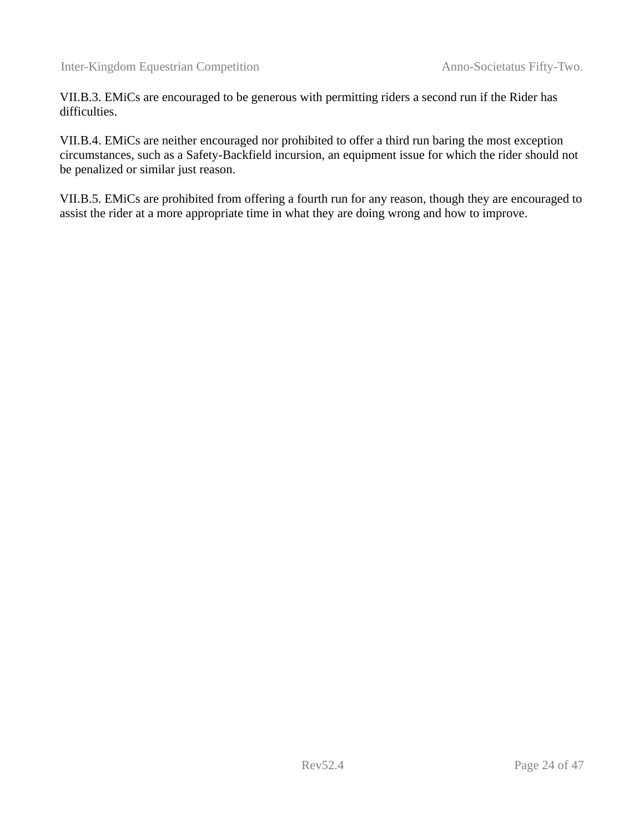VII.B.3. EMiCs are encouraged to be generous with permitting riders a second run if the Rider has difficulties.

VII.B.4. EMiCs are neither encouraged nor prohibited to offer a third run baring the most exception circumstances, such as a Safety-Backfield incursion, an equipment issue for which the rider should not be penalized or similar just reason.

VII.B.5. EMiCs are prohibited from offering a fourth run for any reason, though they are encouraged to assist the rider at a more appropriate time in what they are doing wrong and how to improve.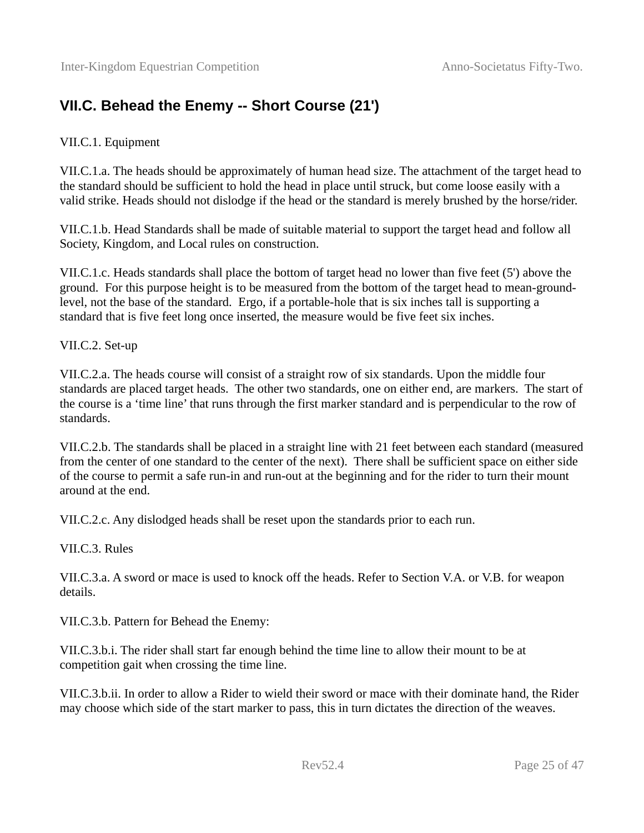### <span id="page-24-0"></span>**VII.C. Behead the Enemy -- Short Course (21')**

#### VII.C.1. Equipment

VII.C.1.a. The heads should be approximately of human head size. The attachment of the target head to the standard should be sufficient to hold the head in place until struck, but come loose easily with a valid strike. Heads should not dislodge if the head or the standard is merely brushed by the horse/rider.

VII.C.1.b. Head Standards shall be made of suitable material to support the target head and follow all Society, Kingdom, and Local rules on construction.

VII.C.1.c. Heads standards shall place the bottom of target head no lower than five feet (5') above the ground. For this purpose height is to be measured from the bottom of the target head to mean-groundlevel, not the base of the standard. Ergo, if a portable-hole that is six inches tall is supporting a standard that is five feet long once inserted, the measure would be five feet six inches.

VII.C.2. Set-up

VII.C.2.a. The heads course will consist of a straight row of six standards. Upon the middle four standards are placed target heads. The other two standards, one on either end, are markers. The start of the course is a 'time line' that runs through the first marker standard and is perpendicular to the row of standards.

VII.C.2.b. The standards shall be placed in a straight line with 21 feet between each standard (measured from the center of one standard to the center of the next). There shall be sufficient space on either side of the course to permit a safe run-in and run-out at the beginning and for the rider to turn their mount around at the end.

VII.C.2.c. Any dislodged heads shall be reset upon the standards prior to each run.

VII.C.3. Rules

VII.C.3.a. A sword or mace is used to knock off the heads. Refer to Section V.A. or V.B. for weapon details.

VII.C.3.b. Pattern for Behead the Enemy:

VII.C.3.b.i. The rider shall start far enough behind the time line to allow their mount to be at competition gait when crossing the time line.

VII.C.3.b.ii. In order to allow a Rider to wield their sword or mace with their dominate hand, the Rider may choose which side of the start marker to pass, this in turn dictates the direction of the weaves.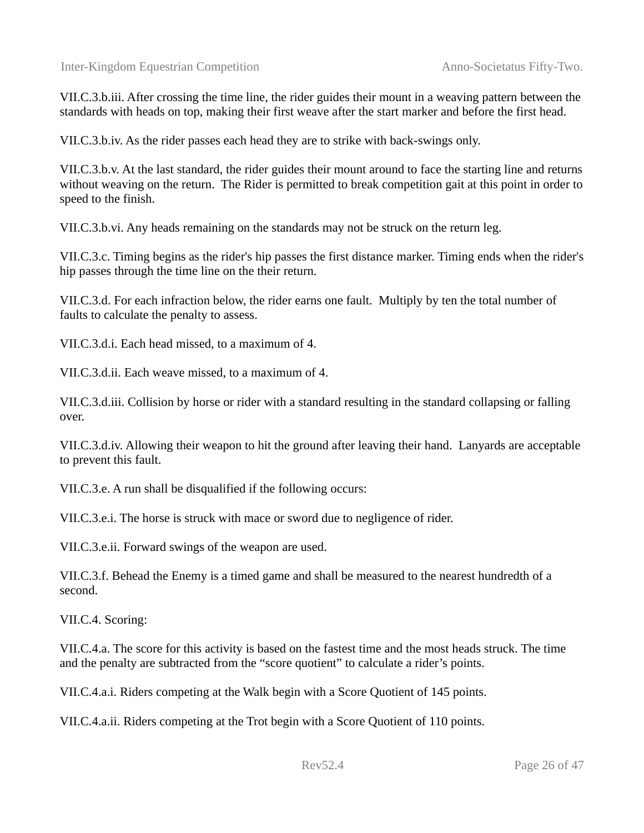VII.C.3.b.iii. After crossing the time line, the rider guides their mount in a weaving pattern between the standards with heads on top, making their first weave after the start marker and before the first head.

VII.C.3.b.iv. As the rider passes each head they are to strike with back-swings only.

VII.C.3.b.v. At the last standard, the rider guides their mount around to face the starting line and returns without weaving on the return. The Rider is permitted to break competition gait at this point in order to speed to the finish.

VII.C.3.b.vi. Any heads remaining on the standards may not be struck on the return leg.

VII.C.3.c. Timing begins as the rider's hip passes the first distance marker. Timing ends when the rider's hip passes through the time line on the their return.

VII.C.3.d. For each infraction below, the rider earns one fault. Multiply by ten the total number of faults to calculate the penalty to assess.

VII.C.3.d.i. Each head missed, to a maximum of 4.

VII.C.3.d.ii. Each weave missed, to a maximum of 4.

VII.C.3.d.iii. Collision by horse or rider with a standard resulting in the standard collapsing or falling over.

VII.C.3.d.iv. Allowing their weapon to hit the ground after leaving their hand. Lanyards are acceptable to prevent this fault.

VII.C.3.e. A run shall be disqualified if the following occurs:

VII.C.3.e.i. The horse is struck with mace or sword due to negligence of rider.

VII.C.3.e.ii. Forward swings of the weapon are used.

VII.C.3.f. Behead the Enemy is a timed game and shall be measured to the nearest hundredth of a second.

VII.C.4. Scoring:

VII.C.4.a. The score for this activity is based on the fastest time and the most heads struck. The time and the penalty are subtracted from the "score quotient" to calculate a rider's points.

VII.C.4.a.i. Riders competing at the Walk begin with a Score Quotient of 145 points.

VII.C.4.a.ii. Riders competing at the Trot begin with a Score Quotient of 110 points.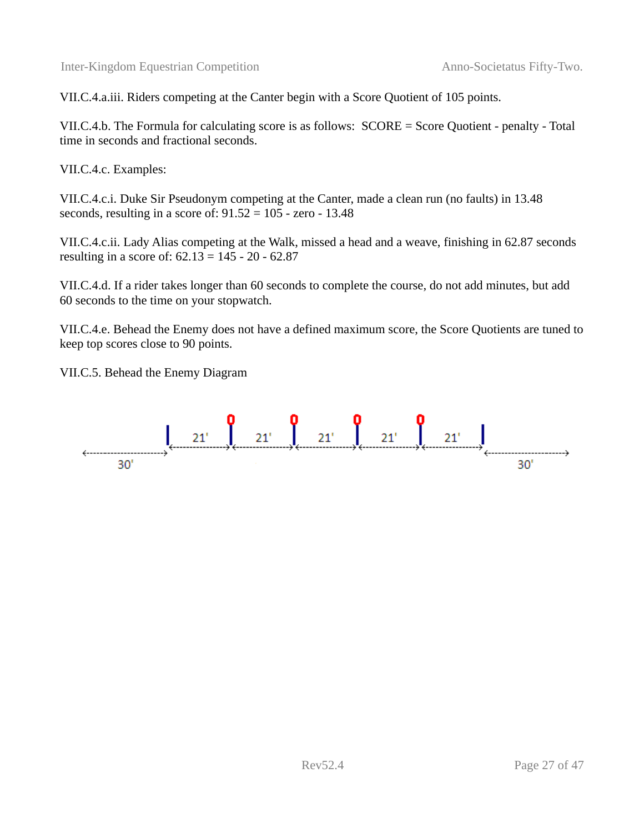VII.C.4.a.iii. Riders competing at the Canter begin with a Score Quotient of 105 points.

VII.C.4.b. The Formula for calculating score is as follows: SCORE = Score Quotient - penalty - Total time in seconds and fractional seconds.

VII.C.4.c. Examples:

VII.C.4.c.i. Duke Sir Pseudonym competing at the Canter, made a clean run (no faults) in 13.48 seconds, resulting in a score of: 91.52 = 105 - zero - 13.48

VII.C.4.c.ii. Lady Alias competing at the Walk, missed a head and a weave, finishing in 62.87 seconds resulting in a score of: 62.13 = 145 - 20 - 62.87

VII.C.4.d. If a rider takes longer than 60 seconds to complete the course, do not add minutes, but add 60 seconds to the time on your stopwatch.

VII.C.4.e. Behead the Enemy does not have a defined maximum score, the Score Quotients are tuned to keep top scores close to 90 points.

VII.C.5. Behead the Enemy Diagram

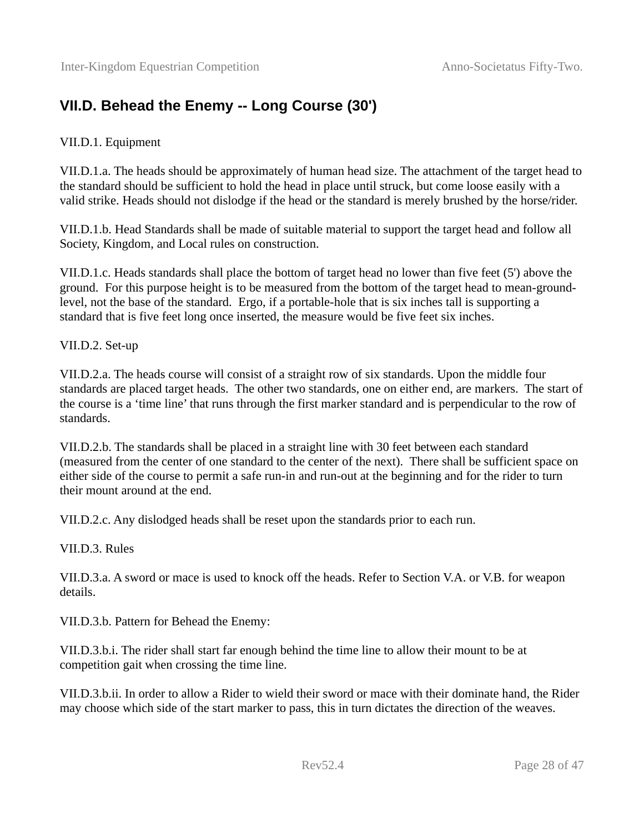### <span id="page-27-0"></span>**VII.D. Behead the Enemy -- Long Course (30')**

#### VII.D.1. Equipment

VII.D.1.a. The heads should be approximately of human head size. The attachment of the target head to the standard should be sufficient to hold the head in place until struck, but come loose easily with a valid strike. Heads should not dislodge if the head or the standard is merely brushed by the horse/rider.

VII.D.1.b. Head Standards shall be made of suitable material to support the target head and follow all Society, Kingdom, and Local rules on construction.

VII.D.1.c. Heads standards shall place the bottom of target head no lower than five feet (5') above the ground. For this purpose height is to be measured from the bottom of the target head to mean-groundlevel, not the base of the standard. Ergo, if a portable-hole that is six inches tall is supporting a standard that is five feet long once inserted, the measure would be five feet six inches.

VII.D.2. Set-up

VII.D.2.a. The heads course will consist of a straight row of six standards. Upon the middle four standards are placed target heads. The other two standards, one on either end, are markers. The start of the course is a 'time line' that runs through the first marker standard and is perpendicular to the row of standards.

VII.D.2.b. The standards shall be placed in a straight line with 30 feet between each standard (measured from the center of one standard to the center of the next). There shall be sufficient space on either side of the course to permit a safe run-in and run-out at the beginning and for the rider to turn their mount around at the end.

VII.D.2.c. Any dislodged heads shall be reset upon the standards prior to each run.

VII.D.3. Rules

VII.D.3.a. A sword or mace is used to knock off the heads. Refer to Section V.A. or V.B. for weapon details.

VII.D.3.b. Pattern for Behead the Enemy:

VII.D.3.b.i. The rider shall start far enough behind the time line to allow their mount to be at competition gait when crossing the time line.

VII.D.3.b.ii. In order to allow a Rider to wield their sword or mace with their dominate hand, the Rider may choose which side of the start marker to pass, this in turn dictates the direction of the weaves.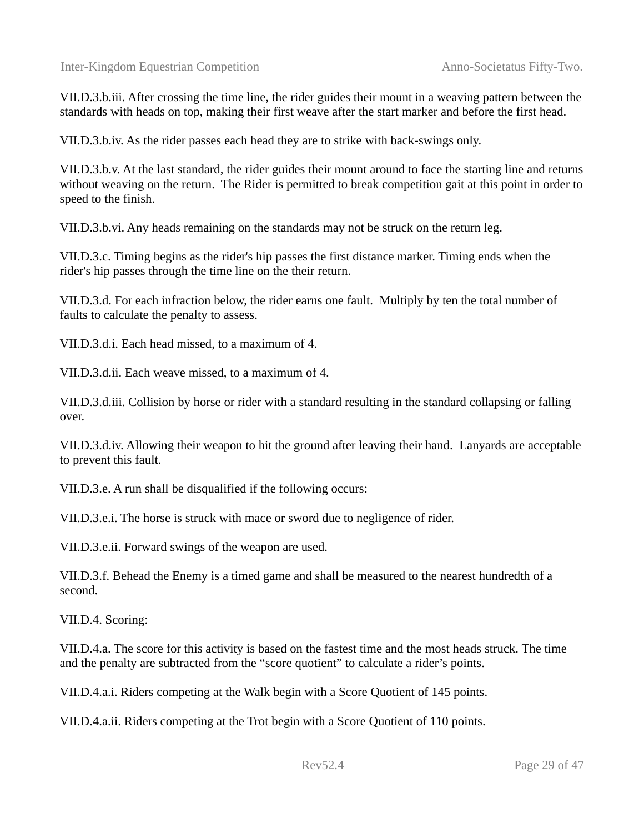VII.D.3.b.iii. After crossing the time line, the rider guides their mount in a weaving pattern between the standards with heads on top, making their first weave after the start marker and before the first head.

VII.D.3.b.iv. As the rider passes each head they are to strike with back-swings only.

VII.D.3.b.v. At the last standard, the rider guides their mount around to face the starting line and returns without weaving on the return. The Rider is permitted to break competition gait at this point in order to speed to the finish.

VII.D.3.b.vi. Any heads remaining on the standards may not be struck on the return leg.

VII.D.3.c. Timing begins as the rider's hip passes the first distance marker. Timing ends when the rider's hip passes through the time line on the their return.

VII.D.3.d. For each infraction below, the rider earns one fault. Multiply by ten the total number of faults to calculate the penalty to assess.

VII.D.3.d.i. Each head missed, to a maximum of 4.

VII.D.3.d.ii. Each weave missed, to a maximum of 4.

VII.D.3.d.iii. Collision by horse or rider with a standard resulting in the standard collapsing or falling over.

VII.D.3.d.iv. Allowing their weapon to hit the ground after leaving their hand. Lanyards are acceptable to prevent this fault.

VII.D.3.e. A run shall be disqualified if the following occurs:

VII.D.3.e.i. The horse is struck with mace or sword due to negligence of rider.

VII.D.3.e.ii. Forward swings of the weapon are used.

VII.D.3.f. Behead the Enemy is a timed game and shall be measured to the nearest hundredth of a second.

VII.D.4. Scoring:

VII.D.4.a. The score for this activity is based on the fastest time and the most heads struck. The time and the penalty are subtracted from the "score quotient" to calculate a rider's points.

VII.D.4.a.i. Riders competing at the Walk begin with a Score Quotient of 145 points.

VII.D.4.a.ii. Riders competing at the Trot begin with a Score Quotient of 110 points.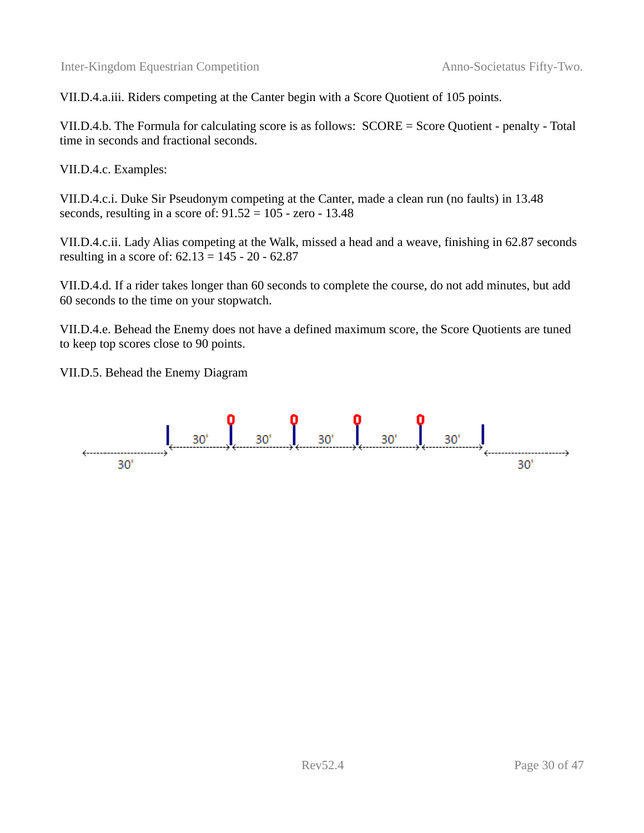VII.D.4.a.iii. Riders competing at the Canter begin with a Score Quotient of 105 points.

VII.D.4.b. The Formula for calculating score is as follows: SCORE = Score Quotient - penalty - Total time in seconds and fractional seconds.

VII.D.4.c. Examples:

VII.D.4.c.i. Duke Sir Pseudonym competing at the Canter, made a clean run (no faults) in 13.48 seconds, resulting in a score of: 91.52 = 105 - zero - 13.48

VII.D.4.c.ii. Lady Alias competing at the Walk, missed a head and a weave, finishing in 62.87 seconds resulting in a score of: 62.13 = 145 - 20 - 62.87

VII.D.4.d. If a rider takes longer than 60 seconds to complete the course, do not add minutes, but add 60 seconds to the time on your stopwatch.

VII.D.4.e. Behead the Enemy does not have a defined maximum score, the Score Quotients are tuned to keep top scores close to 90 points.

VII.D.5. Behead the Enemy Diagram

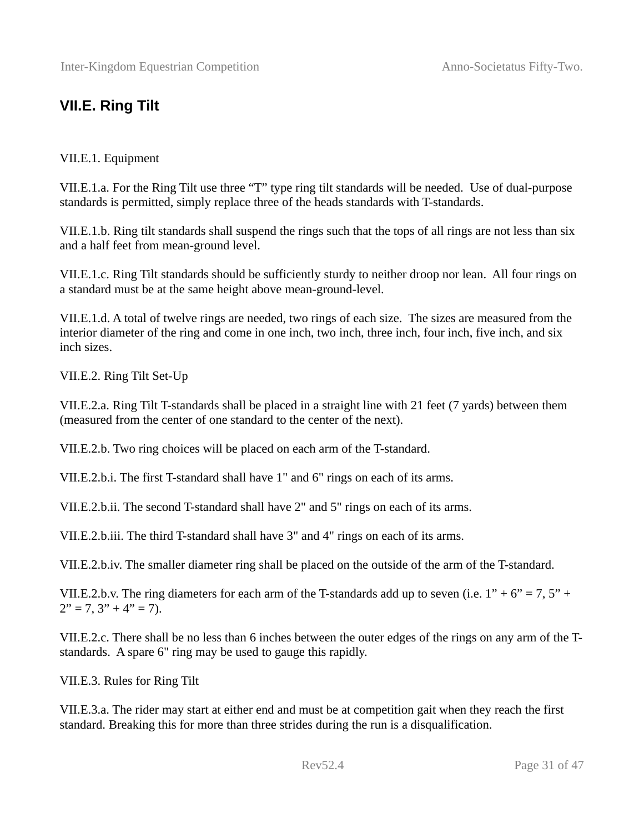### <span id="page-30-0"></span>**VII.E. Ring Tilt**

#### VII.E.1. Equipment

VII.E.1.a. For the Ring Tilt use three "T" type ring tilt standards will be needed. Use of dual-purpose standards is permitted, simply replace three of the heads standards with T-standards.

VII.E.1.b. Ring tilt standards shall suspend the rings such that the tops of all rings are not less than six and a half feet from mean-ground level.

VII.E.1.c. Ring Tilt standards should be sufficiently sturdy to neither droop nor lean. All four rings on a standard must be at the same height above mean-ground-level.

VII.E.1.d. A total of twelve rings are needed, two rings of each size. The sizes are measured from the interior diameter of the ring and come in one inch, two inch, three inch, four inch, five inch, and six inch sizes.

VII.E.2. Ring Tilt Set-Up

VII.E.2.a. Ring Tilt T-standards shall be placed in a straight line with 21 feet (7 yards) between them (measured from the center of one standard to the center of the next).

VII.E.2.b. Two ring choices will be placed on each arm of the T-standard.

VII.E.2.b.i. The first T-standard shall have 1" and 6" rings on each of its arms.

VII.E.2.b.ii. The second T-standard shall have 2" and 5" rings on each of its arms.

VII.E.2.b.iii. The third T-standard shall have 3" and 4" rings on each of its arms.

VII.E.2.b.iv. The smaller diameter ring shall be placed on the outside of the arm of the T-standard.

VII.E.2.b.v. The ring diameters for each arm of the T-standards add up to seven (i.e.  $1'' + 6'' = 7$ ,  $5'' +$  $2" = 7, 3" + 4" = 7$ .

VII.E.2.c. There shall be no less than 6 inches between the outer edges of the rings on any arm of the Tstandards. A spare 6" ring may be used to gauge this rapidly.

VII.E.3. Rules for Ring Tilt

VII.E.3.a. The rider may start at either end and must be at competition gait when they reach the first standard. Breaking this for more than three strides during the run is a disqualification.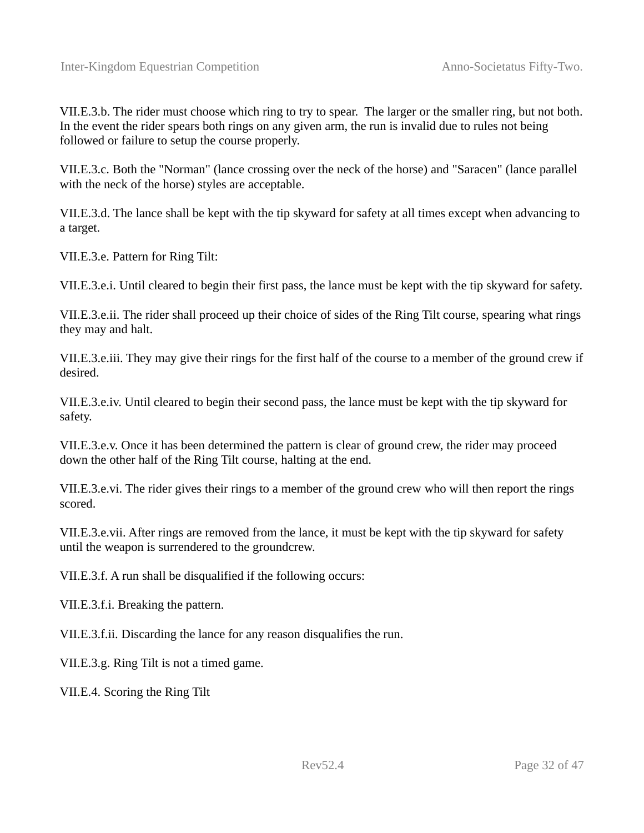VII.E.3.b. The rider must choose which ring to try to spear. The larger or the smaller ring, but not both. In the event the rider spears both rings on any given arm, the run is invalid due to rules not being followed or failure to setup the course properly.

VII.E.3.c. Both the "Norman" (lance crossing over the neck of the horse) and "Saracen" (lance parallel with the neck of the horse) styles are acceptable.

VII.E.3.d. The lance shall be kept with the tip skyward for safety at all times except when advancing to a target.

VII.E.3.e. Pattern for Ring Tilt:

VII.E.3.e.i. Until cleared to begin their first pass, the lance must be kept with the tip skyward for safety.

VII.E.3.e.ii. The rider shall proceed up their choice of sides of the Ring Tilt course, spearing what rings they may and halt.

VII.E.3.e.iii. They may give their rings for the first half of the course to a member of the ground crew if desired.

VII.E.3.e.iv. Until cleared to begin their second pass, the lance must be kept with the tip skyward for safety.

VII.E.3.e.v. Once it has been determined the pattern is clear of ground crew, the rider may proceed down the other half of the Ring Tilt course, halting at the end.

VII.E.3.e.vi. The rider gives their rings to a member of the ground crew who will then report the rings scored.

VII.E.3.e.vii. After rings are removed from the lance, it must be kept with the tip skyward for safety until the weapon is surrendered to the groundcrew.

VII.E.3.f. A run shall be disqualified if the following occurs:

VII.E.3.f.i. Breaking the pattern.

VII.E.3.f.ii. Discarding the lance for any reason disqualifies the run.

VII.E.3.g. Ring Tilt is not a timed game.

VII.E.4. Scoring the Ring Tilt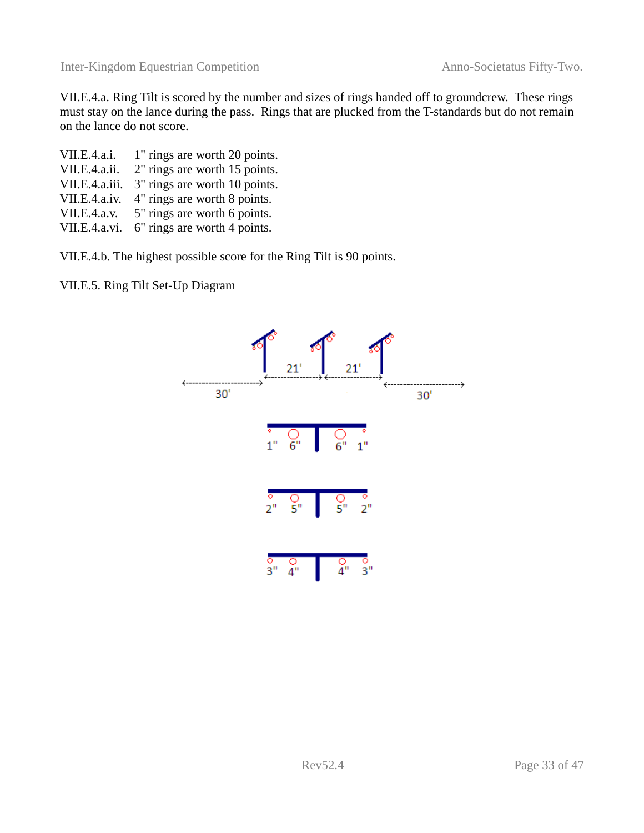VII.E.4.a. Ring Tilt is scored by the number and sizes of rings handed off to groundcrew. These rings must stay on the lance during the pass. Rings that are plucked from the T-standards but do not remain on the lance do not score.

| VII.E.4.a.i.   | 1" rings are worth 20 points. |
|----------------|-------------------------------|
| VII.E.4.a.ii.  | 2" rings are worth 15 points. |
| VII.E.4.a.iii. | 3" rings are worth 10 points. |
| VII.E.4.a.iv.  | 4" rings are worth 8 points.  |
| VII.E.4.a.v.   | 5" rings are worth 6 points.  |
| VII.E.4.a.vi.  | 6" rings are worth 4 points.  |

VII.E.4.b. The highest possible score for the Ring Tilt is 90 points.

VII.E.5. Ring Tilt Set-Up Diagram

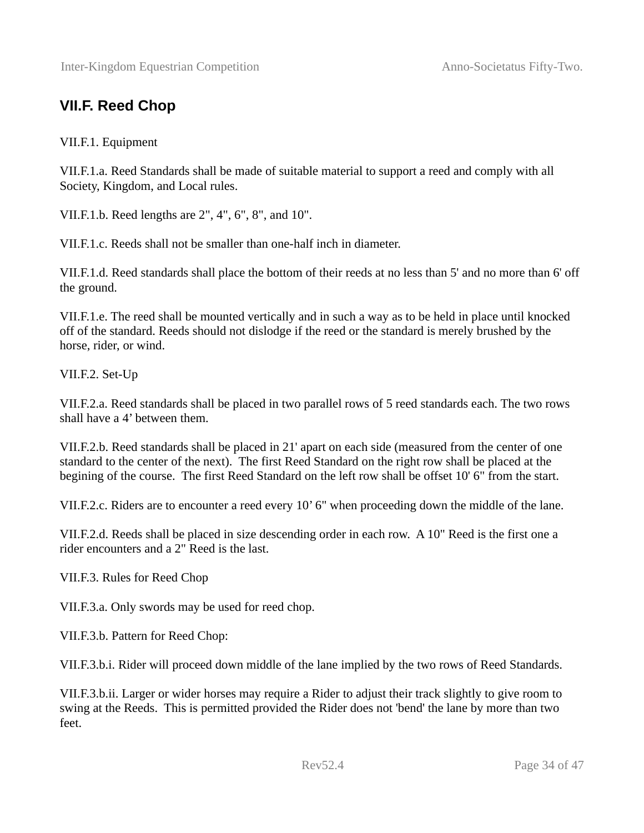### <span id="page-33-0"></span>**VII.F. Reed Chop**

VII.F.1. Equipment

VII.F.1.a. Reed Standards shall be made of suitable material to support a reed and comply with all Society, Kingdom, and Local rules.

VII.F.1.b. Reed lengths are 2", 4", 6", 8", and 10".

VII.F.1.c. Reeds shall not be smaller than one-half inch in diameter.

VII.F.1.d. Reed standards shall place the bottom of their reeds at no less than 5' and no more than 6' off the ground.

VII.F.1.e. The reed shall be mounted vertically and in such a way as to be held in place until knocked off of the standard. Reeds should not dislodge if the reed or the standard is merely brushed by the horse, rider, or wind.

VII.F.2. Set-Up

VII.F.2.a. Reed standards shall be placed in two parallel rows of 5 reed standards each. The two rows shall have a 4' between them.

VII.F.2.b. Reed standards shall be placed in 21' apart on each side (measured from the center of one standard to the center of the next). The first Reed Standard on the right row shall be placed at the begining of the course. The first Reed Standard on the left row shall be offset 10' 6" from the start.

VII.F.2.c. Riders are to encounter a reed every 10' 6" when proceeding down the middle of the lane.

VII.F.2.d. Reeds shall be placed in size descending order in each row. A 10" Reed is the first one a rider encounters and a 2" Reed is the last.

VII.F.3. Rules for Reed Chop

VII.F.3.a. Only swords may be used for reed chop.

VII.F.3.b. Pattern for Reed Chop:

VII.F.3.b.i. Rider will proceed down middle of the lane implied by the two rows of Reed Standards.

VII.F.3.b.ii. Larger or wider horses may require a Rider to adjust their track slightly to give room to swing at the Reeds. This is permitted provided the Rider does not 'bend' the lane by more than two feet.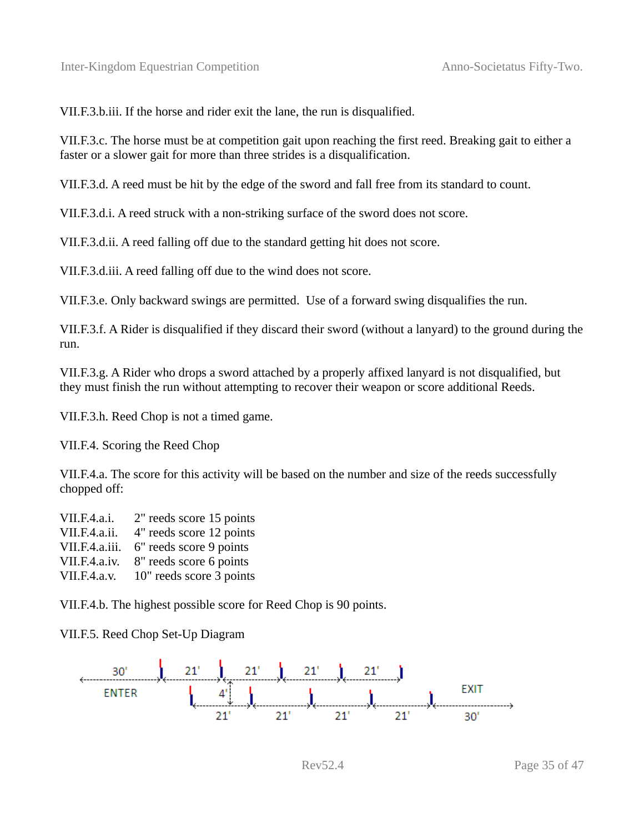VII.F.3.b.iii. If the horse and rider exit the lane, the run is disqualified.

VII.F.3.c. The horse must be at competition gait upon reaching the first reed. Breaking gait to either a faster or a slower gait for more than three strides is a disqualification.

VII.F.3.d. A reed must be hit by the edge of the sword and fall free from its standard to count.

VII.F.3.d.i. A reed struck with a non-striking surface of the sword does not score.

VII.F.3.d.ii. A reed falling off due to the standard getting hit does not score.

VII.F.3.d.iii. A reed falling off due to the wind does not score.

VII.F.3.e. Only backward swings are permitted. Use of a forward swing disqualifies the run.

VII.F.3.f. A Rider is disqualified if they discard their sword (without a lanyard) to the ground during the run.

VII.F.3.g. A Rider who drops a sword attached by a properly affixed lanyard is not disqualified, but they must finish the run without attempting to recover their weapon or score additional Reeds.

VII.F.3.h. Reed Chop is not a timed game.

VII.F.4. Scoring the Reed Chop

VII.F.4.a. The score for this activity will be based on the number and size of the reeds successfully chopped off:

VII.F.4.a.i. 2" reeds score 15 points VII.F.4.a.ii. 4" reeds score 12 points VII.F.4.a.iii. 6" reeds score 9 points VII.F.4.a.iv. 8" reeds score 6 points VII.F.4.a.v. 10" reeds score 3 points

VII.F.4.b. The highest possible score for Reed Chop is 90 points.

VII.F.5. Reed Chop Set-Up Diagram

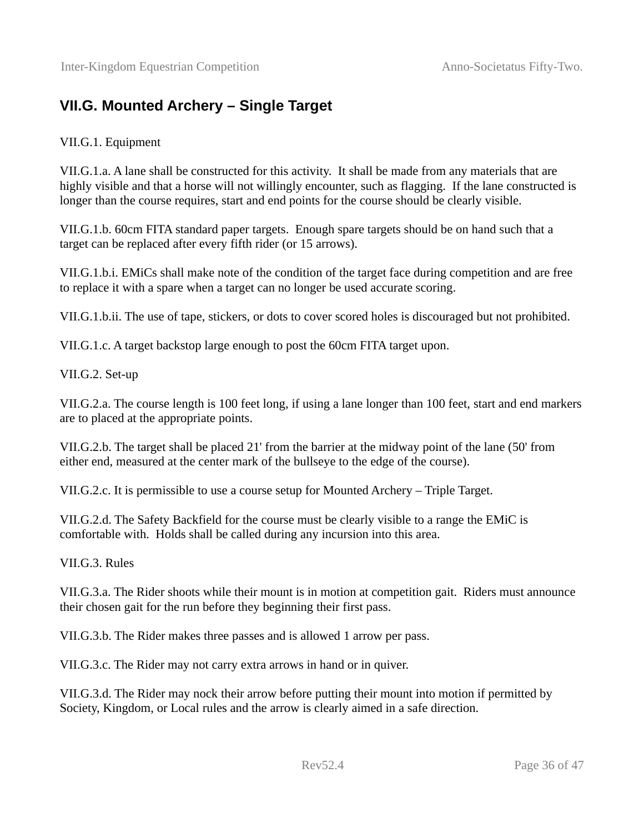### <span id="page-35-0"></span>**VII.G. Mounted Archery – Single Target**

#### VII.G.1. Equipment

VII.G.1.a. A lane shall be constructed for this activity. It shall be made from any materials that are highly visible and that a horse will not willingly encounter, such as flagging. If the lane constructed is longer than the course requires, start and end points for the course should be clearly visible.

VII.G.1.b. 60cm FITA standard paper targets. Enough spare targets should be on hand such that a target can be replaced after every fifth rider (or 15 arrows).

VII.G.1.b.i. EMiCs shall make note of the condition of the target face during competition and are free to replace it with a spare when a target can no longer be used accurate scoring.

VII.G.1.b.ii. The use of tape, stickers, or dots to cover scored holes is discouraged but not prohibited.

VII.G.1.c. A target backstop large enough to post the 60cm FITA target upon.

VII.G.2. Set-up

VII.G.2.a. The course length is 100 feet long, if using a lane longer than 100 feet, start and end markers are to placed at the appropriate points.

VII.G.2.b. The target shall be placed 21' from the barrier at the midway point of the lane (50' from either end, measured at the center mark of the bullseye to the edge of the course).

VII.G.2.c. It is permissible to use a course setup for Mounted Archery – Triple Target.

VII.G.2.d. The Safety Backfield for the course must be clearly visible to a range the EMiC is comfortable with. Holds shall be called during any incursion into this area.

VII.G.3. Rules

VII.G.3.a. The Rider shoots while their mount is in motion at competition gait. Riders must announce their chosen gait for the run before they beginning their first pass.

VII.G.3.b. The Rider makes three passes and is allowed 1 arrow per pass.

VII.G.3.c. The Rider may not carry extra arrows in hand or in quiver.

VII.G.3.d. The Rider may nock their arrow before putting their mount into motion if permitted by Society, Kingdom, or Local rules and the arrow is clearly aimed in a safe direction.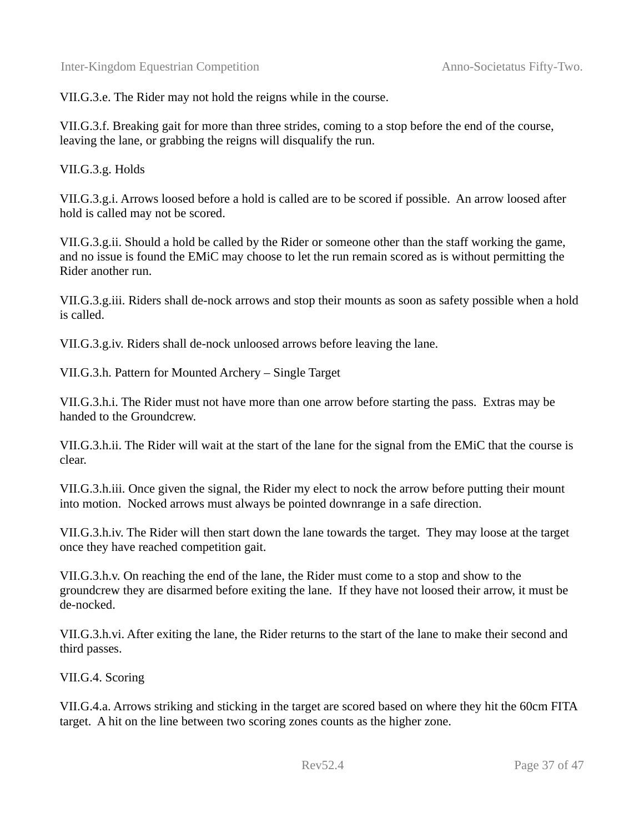VII.G.3.e. The Rider may not hold the reigns while in the course.

VII.G.3.f. Breaking gait for more than three strides, coming to a stop before the end of the course, leaving the lane, or grabbing the reigns will disqualify the run.

VII.G.3.g. Holds

VII.G.3.g.i. Arrows loosed before a hold is called are to be scored if possible. An arrow loosed after hold is called may not be scored.

VII.G.3.g.ii. Should a hold be called by the Rider or someone other than the staff working the game, and no issue is found the EMiC may choose to let the run remain scored as is without permitting the Rider another run.

VII.G.3.g.iii. Riders shall de-nock arrows and stop their mounts as soon as safety possible when a hold is called.

VII.G.3.g.iv. Riders shall de-nock unloosed arrows before leaving the lane.

VII.G.3.h. Pattern for Mounted Archery – Single Target

VII.G.3.h.i. The Rider must not have more than one arrow before starting the pass. Extras may be handed to the Groundcrew.

VII.G.3.h.ii. The Rider will wait at the start of the lane for the signal from the EMiC that the course is clear.

VII.G.3.h.iii. Once given the signal, the Rider my elect to nock the arrow before putting their mount into motion. Nocked arrows must always be pointed downrange in a safe direction.

VII.G.3.h.iv. The Rider will then start down the lane towards the target. They may loose at the target once they have reached competition gait.

VII.G.3.h.v. On reaching the end of the lane, the Rider must come to a stop and show to the groundcrew they are disarmed before exiting the lane. If they have not loosed their arrow, it must be de-nocked.

VII.G.3.h.vi. After exiting the lane, the Rider returns to the start of the lane to make their second and third passes.

VII.G.4. Scoring

VII.G.4.a. Arrows striking and sticking in the target are scored based on where they hit the 60cm FITA target. A hit on the line between two scoring zones counts as the higher zone.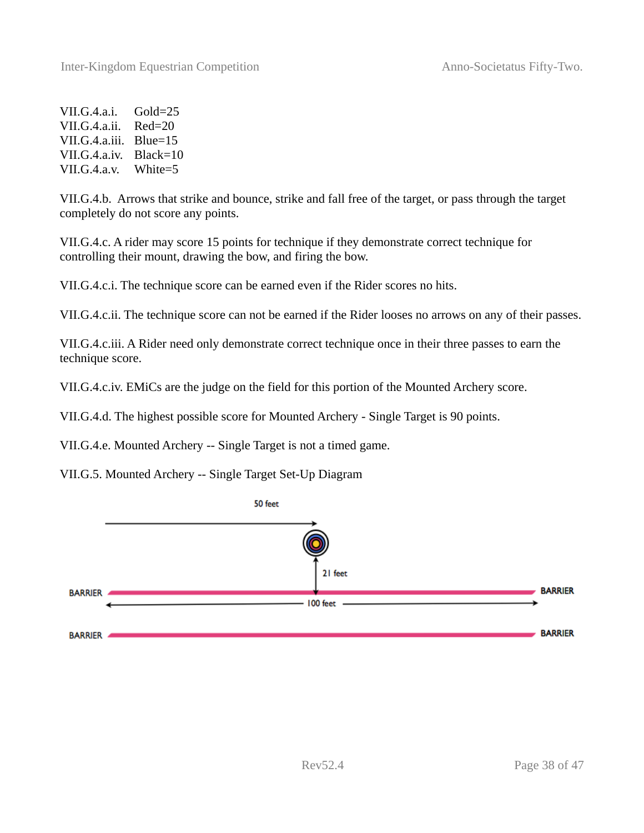VII.G.4.a.i. Gold=25 VII.G.4.a.ii. Red=20 VII.G.4.a.iii. Blue=15 VII.G.4.a.iv. Black=10 VII.G.4.a.v. White=5

VII.G.4.b. Arrows that strike and bounce, strike and fall free of the target, or pass through the target completely do not score any points.

VII.G.4.c. A rider may score 15 points for technique if they demonstrate correct technique for controlling their mount, drawing the bow, and firing the bow.

VII.G.4.c.i. The technique score can be earned even if the Rider scores no hits.

VII.G.4.c.ii. The technique score can not be earned if the Rider looses no arrows on any of their passes.

VII.G.4.c.iii. A Rider need only demonstrate correct technique once in their three passes to earn the technique score.

VII.G.4.c.iv. EMiCs are the judge on the field for this portion of the Mounted Archery score.

VII.G.4.d. The highest possible score for Mounted Archery - Single Target is 90 points.

VII.G.4.e. Mounted Archery -- Single Target is not a timed game.

VII.G.5. Mounted Archery -- Single Target Set-Up Diagram

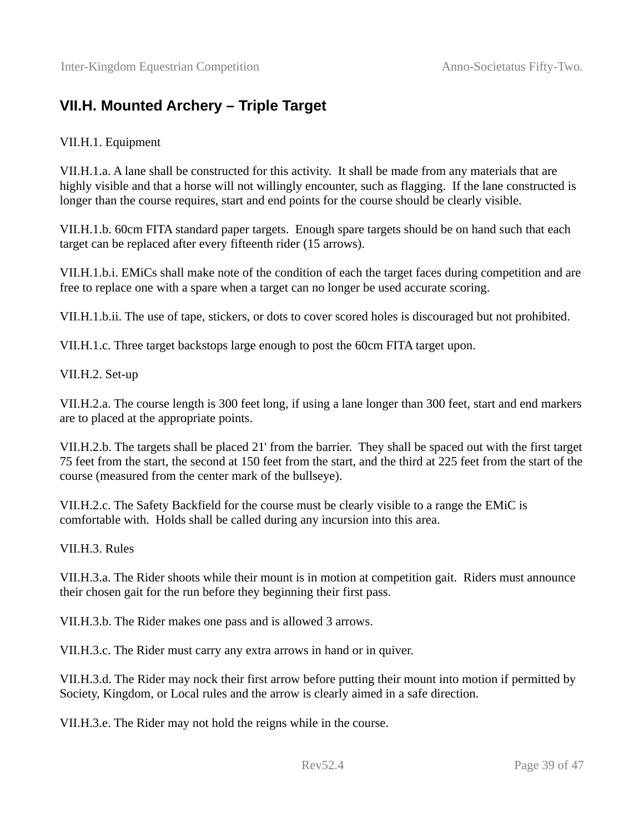#### <span id="page-38-0"></span>**VII.H. Mounted Archery – Triple Target**

#### VII.H.1. Equipment

VII.H.1.a. A lane shall be constructed for this activity. It shall be made from any materials that are highly visible and that a horse will not willingly encounter, such as flagging. If the lane constructed is longer than the course requires, start and end points for the course should be clearly visible.

VII.H.1.b. 60cm FITA standard paper targets. Enough spare targets should be on hand such that each target can be replaced after every fifteenth rider (15 arrows).

VII.H.1.b.i. EMiCs shall make note of the condition of each the target faces during competition and are free to replace one with a spare when a target can no longer be used accurate scoring.

VII.H.1.b.ii. The use of tape, stickers, or dots to cover scored holes is discouraged but not prohibited.

VII.H.1.c. Three target backstops large enough to post the 60cm FITA target upon.

VII.H.2. Set-up

VII.H.2.a. The course length is 300 feet long, if using a lane longer than 300 feet, start and end markers are to placed at the appropriate points.

VII.H.2.b. The targets shall be placed 21' from the barrier. They shall be spaced out with the first target 75 feet from the start, the second at 150 feet from the start, and the third at 225 feet from the start of the course (measured from the center mark of the bullseye).

VII.H.2.c. The Safety Backfield for the course must be clearly visible to a range the EMiC is comfortable with. Holds shall be called during any incursion into this area.

VII.H.3. Rules

VII.H.3.a. The Rider shoots while their mount is in motion at competition gait. Riders must announce their chosen gait for the run before they beginning their first pass.

VII.H.3.b. The Rider makes one pass and is allowed 3 arrows.

VII.H.3.c. The Rider must carry any extra arrows in hand or in quiver.

VII.H.3.d. The Rider may nock their first arrow before putting their mount into motion if permitted by Society, Kingdom, or Local rules and the arrow is clearly aimed in a safe direction.

VII.H.3.e. The Rider may not hold the reigns while in the course.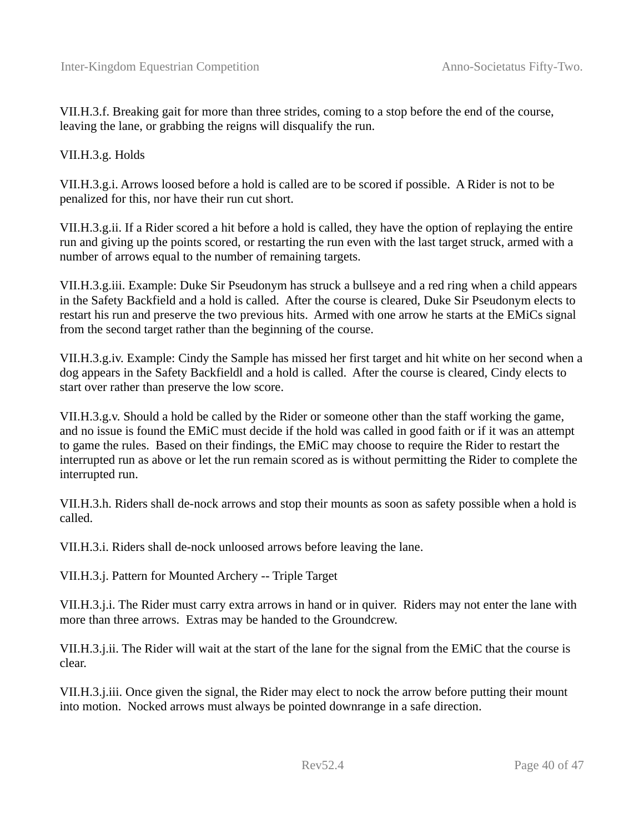VII.H.3.f. Breaking gait for more than three strides, coming to a stop before the end of the course, leaving the lane, or grabbing the reigns will disqualify the run.

#### VII.H.3.g. Holds

VII.H.3.g.i. Arrows loosed before a hold is called are to be scored if possible. A Rider is not to be penalized for this, nor have their run cut short.

VII.H.3.g.ii. If a Rider scored a hit before a hold is called, they have the option of replaying the entire run and giving up the points scored, or restarting the run even with the last target struck, armed with a number of arrows equal to the number of remaining targets.

VII.H.3.g.iii. Example: Duke Sir Pseudonym has struck a bullseye and a red ring when a child appears in the Safety Backfield and a hold is called. After the course is cleared, Duke Sir Pseudonym elects to restart his run and preserve the two previous hits. Armed with one arrow he starts at the EMiCs signal from the second target rather than the beginning of the course.

VII.H.3.g.iv. Example: Cindy the Sample has missed her first target and hit white on her second when a dog appears in the Safety Backfieldl and a hold is called. After the course is cleared, Cindy elects to start over rather than preserve the low score.

VII.H.3.g.v. Should a hold be called by the Rider or someone other than the staff working the game, and no issue is found the EMiC must decide if the hold was called in good faith or if it was an attempt to game the rules. Based on their findings, the EMiC may choose to require the Rider to restart the interrupted run as above or let the run remain scored as is without permitting the Rider to complete the interrupted run.

VII.H.3.h. Riders shall de-nock arrows and stop their mounts as soon as safety possible when a hold is called.

VII.H.3.i. Riders shall de-nock unloosed arrows before leaving the lane.

VII.H.3.j. Pattern for Mounted Archery -- Triple Target

VII.H.3.j.i. The Rider must carry extra arrows in hand or in quiver. Riders may not enter the lane with more than three arrows. Extras may be handed to the Groundcrew.

VII.H.3.j.ii. The Rider will wait at the start of the lane for the signal from the EMiC that the course is clear.

VII.H.3.j.iii. Once given the signal, the Rider may elect to nock the arrow before putting their mount into motion. Nocked arrows must always be pointed downrange in a safe direction.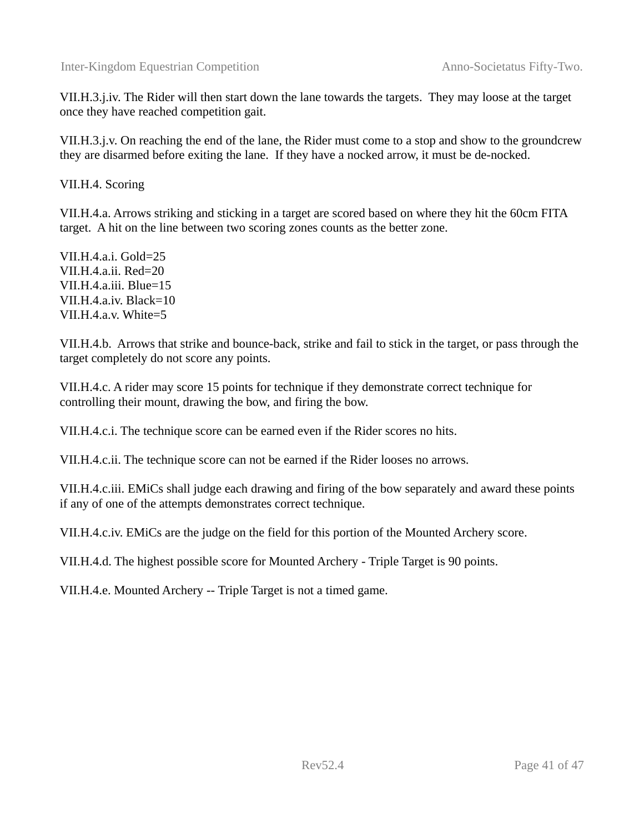VII.H.3.j.iv. The Rider will then start down the lane towards the targets. They may loose at the target once they have reached competition gait.

VII.H.3.j.v. On reaching the end of the lane, the Rider must come to a stop and show to the groundcrew they are disarmed before exiting the lane. If they have a nocked arrow, it must be de-nocked.

VII.H.4. Scoring

VII.H.4.a. Arrows striking and sticking in a target are scored based on where they hit the 60cm FITA target. A hit on the line between two scoring zones counts as the better zone.

VII.H.4.a.i. Gold=25 VII.H.4.a.ii. Red=20 VII.H.4.a.iii. Blue=15 VII.H.4.a.iv. Black=10 VII.H.4.a.v. White=5

VII.H.4.b. Arrows that strike and bounce-back, strike and fail to stick in the target, or pass through the target completely do not score any points.

VII.H.4.c. A rider may score 15 points for technique if they demonstrate correct technique for controlling their mount, drawing the bow, and firing the bow.

VII.H.4.c.i. The technique score can be earned even if the Rider scores no hits.

VII.H.4.c.ii. The technique score can not be earned if the Rider looses no arrows.

VII.H.4.c.iii. EMiCs shall judge each drawing and firing of the bow separately and award these points if any of one of the attempts demonstrates correct technique.

VII.H.4.c.iv. EMiCs are the judge on the field for this portion of the Mounted Archery score.

VII.H.4.d. The highest possible score for Mounted Archery - Triple Target is 90 points.

VII.H.4.e. Mounted Archery -- Triple Target is not a timed game.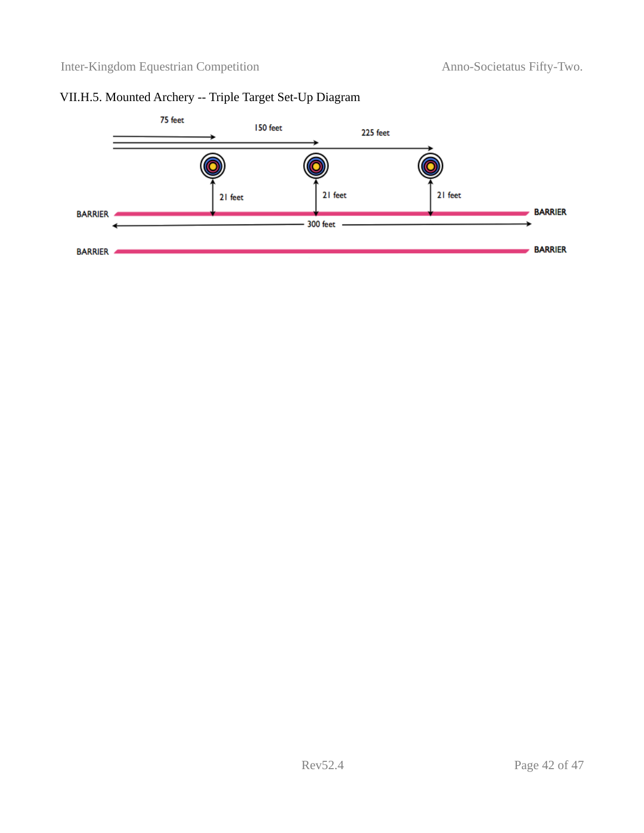#### VII.H.5. Mounted Archery -- Triple Target Set-Up Diagram

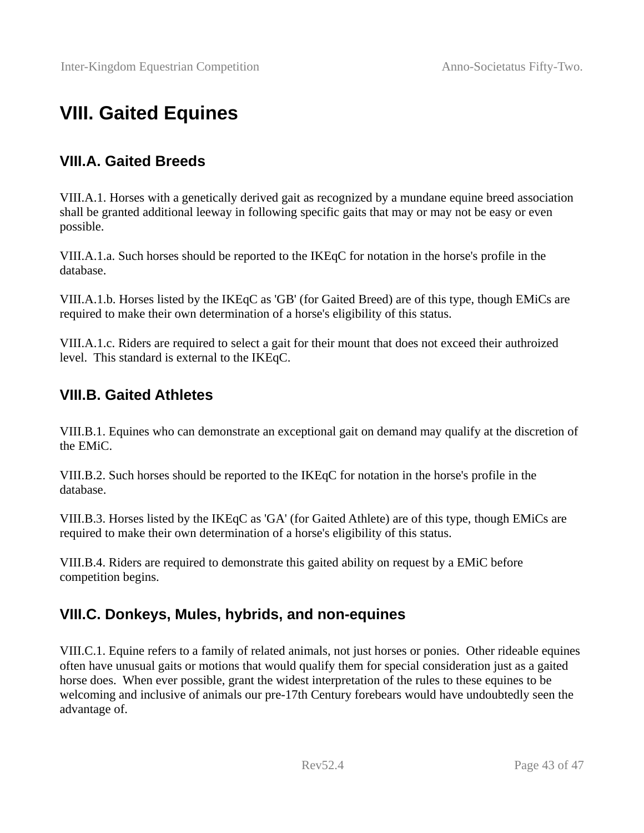# <span id="page-42-3"></span>**VIII. Gaited Equines**

#### <span id="page-42-2"></span>**VIII.A. Gaited Breeds**

VIII.A.1. Horses with a genetically derived gait as recognized by a mundane equine breed association shall be granted additional leeway in following specific gaits that may or may not be easy or even possible.

VIII.A.1.a. Such horses should be reported to the IKEqC for notation in the horse's profile in the database.

VIII.A.1.b. Horses listed by the IKEqC as 'GB' (for Gaited Breed) are of this type, though EMiCs are required to make their own determination of a horse's eligibility of this status.

VIII.A.1.c. Riders are required to select a gait for their mount that does not exceed their authroized level. This standard is external to the IKEqC.

#### <span id="page-42-1"></span>**VIII.B. Gaited Athletes**

VIII.B.1. Equines who can demonstrate an exceptional gait on demand may qualify at the discretion of the EMiC.

VIII.B.2. Such horses should be reported to the IKEqC for notation in the horse's profile in the database.

VIII.B.3. Horses listed by the IKEqC as 'GA' (for Gaited Athlete) are of this type, though EMiCs are required to make their own determination of a horse's eligibility of this status.

VIII.B.4. Riders are required to demonstrate this gaited ability on request by a EMiC before competition begins.

#### <span id="page-42-0"></span>**VIII.C. Donkeys, Mules, hybrids, and non-equines**

VIII.C.1. Equine refers to a family of related animals, not just horses or ponies. Other rideable equines often have unusual gaits or motions that would qualify them for special consideration just as a gaited horse does. When ever possible, grant the widest interpretation of the rules to these equines to be welcoming and inclusive of animals our pre-17th Century forebears would have undoubtedly seen the advantage of.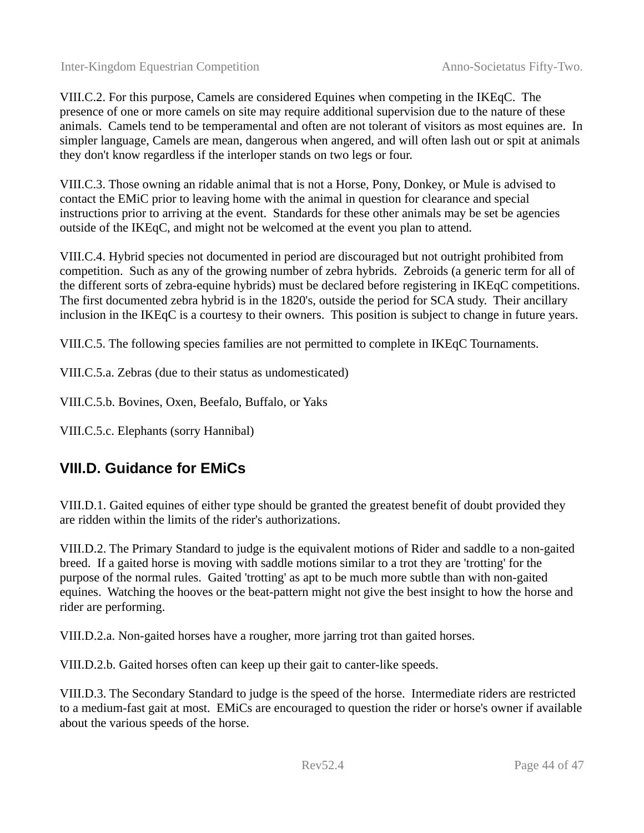VIII.C.2. For this purpose, Camels are considered Equines when competing in the IKEqC. The presence of one or more camels on site may require additional supervision due to the nature of these animals. Camels tend to be temperamental and often are not tolerant of visitors as most equines are. In simpler language, Camels are mean, dangerous when angered, and will often lash out or spit at animals they don't know regardless if the interloper stands on two legs or four.

VIII.C.3. Those owning an ridable animal that is not a Horse, Pony, Donkey, or Mule is advised to contact the EMiC prior to leaving home with the animal in question for clearance and special instructions prior to arriving at the event. Standards for these other animals may be set be agencies outside of the IKEqC, and might not be welcomed at the event you plan to attend.

VIII.C.4. Hybrid species not documented in period are discouraged but not outright prohibited from competition. Such as any of the growing number of zebra hybrids. Zebroids (a generic term for all of the different sorts of zebra-equine hybrids) must be declared before registering in IKEqC competitions. The first documented zebra hybrid is in the 1820's, outside the period for SCA study. Their ancillary inclusion in the IKEqC is a courtesy to their owners. This position is subject to change in future years.

VIII.C.5. The following species families are not permitted to complete in IKEqC Tournaments.

VIII.C.5.a. Zebras (due to their status as undomesticated)

VIII.C.5.b. Bovines, Oxen, Beefalo, Buffalo, or Yaks

VIII.C.5.c. Elephants (sorry Hannibal)

#### <span id="page-43-0"></span>**VIII.D. Guidance for EMiCs**

VIII.D.1. Gaited equines of either type should be granted the greatest benefit of doubt provided they are ridden within the limits of the rider's authorizations.

VIII.D.2. The Primary Standard to judge is the equivalent motions of Rider and saddle to a non-gaited breed. If a gaited horse is moving with saddle motions similar to a trot they are 'trotting' for the purpose of the normal rules. Gaited 'trotting' as apt to be much more subtle than with non-gaited equines. Watching the hooves or the beat-pattern might not give the best insight to how the horse and rider are performing.

VIII.D.2.a. Non-gaited horses have a rougher, more jarring trot than gaited horses.

VIII.D.2.b. Gaited horses often can keep up their gait to canter-like speeds.

VIII.D.3. The Secondary Standard to judge is the speed of the horse. Intermediate riders are restricted to a medium-fast gait at most. EMiCs are encouraged to question the rider or horse's owner if available about the various speeds of the horse.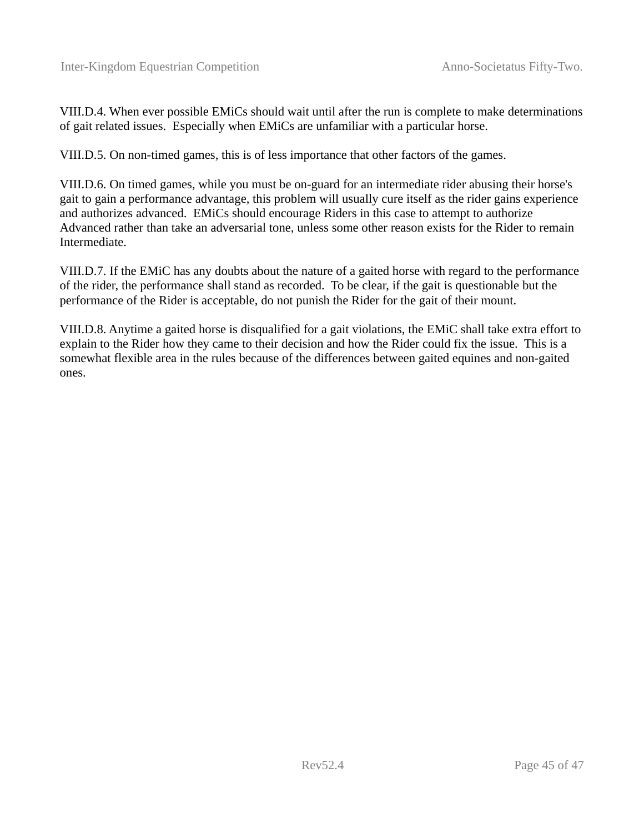VIII.D.4. When ever possible EMiCs should wait until after the run is complete to make determinations of gait related issues. Especially when EMiCs are unfamiliar with a particular horse.

VIII.D.5. On non-timed games, this is of less importance that other factors of the games.

VIII.D.6. On timed games, while you must be on-guard for an intermediate rider abusing their horse's gait to gain a performance advantage, this problem will usually cure itself as the rider gains experience and authorizes advanced. EMiCs should encourage Riders in this case to attempt to authorize Advanced rather than take an adversarial tone, unless some other reason exists for the Rider to remain Intermediate.

VIII.D.7. If the EMiC has any doubts about the nature of a gaited horse with regard to the performance of the rider, the performance shall stand as recorded. To be clear, if the gait is questionable but the performance of the Rider is acceptable, do not punish the Rider for the gait of their mount.

VIII.D.8. Anytime a gaited horse is disqualified for a gait violations, the EMiC shall take extra effort to explain to the Rider how they came to their decision and how the Rider could fix the issue. This is a somewhat flexible area in the rules because of the differences between gaited equines and non-gaited ones.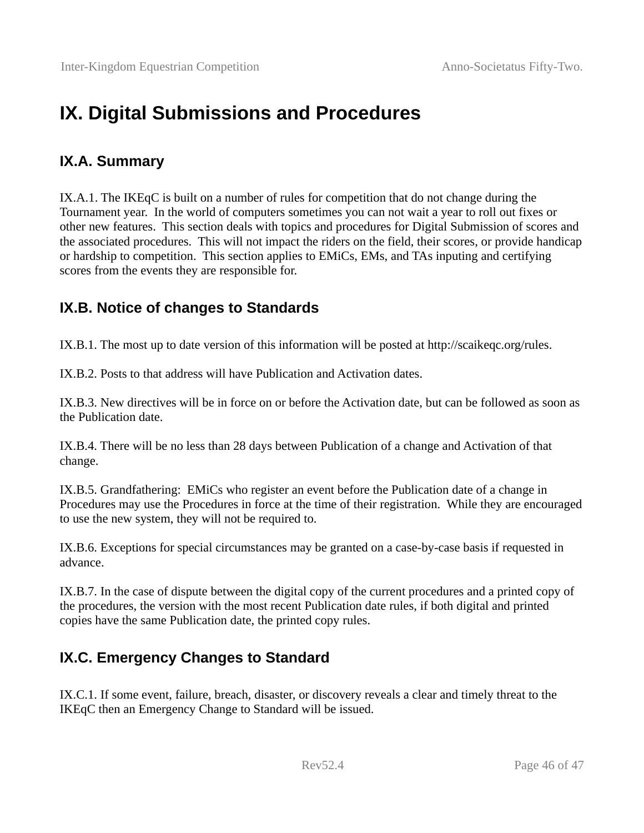## <span id="page-45-3"></span>**IX. Digital Submissions and Procedures**

#### <span id="page-45-2"></span>**IX.A. Summary**

IX.A.1. The IKEqC is built on a number of rules for competition that do not change during the Tournament year. In the world of computers sometimes you can not wait a year to roll out fixes or other new features. This section deals with topics and procedures for Digital Submission of scores and the associated procedures. This will not impact the riders on the field, their scores, or provide handicap or hardship to competition. This section applies to EMiCs, EMs, and TAs inputing and certifying scores from the events they are responsible for.

#### <span id="page-45-1"></span>**IX.B. Notice of changes to Standards**

IX.B.1. The most up to date version of this information will be posted at http://scaikeqc.org/rules.

IX.B.2. Posts to that address will have Publication and Activation dates.

IX.B.3. New directives will be in force on or before the Activation date, but can be followed as soon as the Publication date.

IX.B.4. There will be no less than 28 days between Publication of a change and Activation of that change.

IX.B.5. Grandfathering: EMiCs who register an event before the Publication date of a change in Procedures may use the Procedures in force at the time of their registration. While they are encouraged to use the new system, they will not be required to.

IX.B.6. Exceptions for special circumstances may be granted on a case-by-case basis if requested in advance.

IX.B.7. In the case of dispute between the digital copy of the current procedures and a printed copy of the procedures, the version with the most recent Publication date rules, if both digital and printed copies have the same Publication date, the printed copy rules.

#### <span id="page-45-0"></span>**IX.C. Emergency Changes to Standard**

IX.C.1. If some event, failure, breach, disaster, or discovery reveals a clear and timely threat to the IKEqC then an Emergency Change to Standard will be issued.